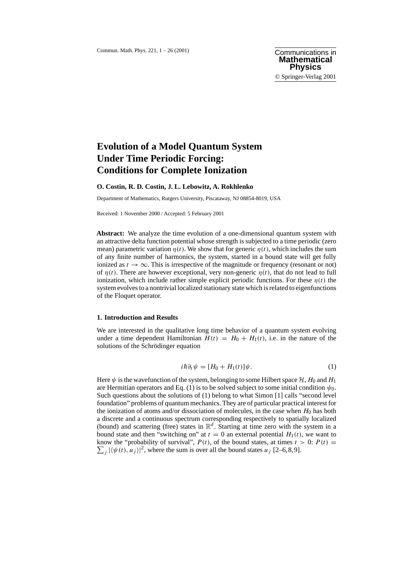# **Evolution of a Model Quantum System Under Time Periodic Forcing: Conditions for Complete Ionization**

## **O. Costin, R. D. Costin, J. L. Lebowitz, A. Rokhlenko**

Department of Mathematics, Rutgers University, Piscataway, NJ 08854-8019, USA

Received: 1 November 2000 / Accepted: 5 February 2001

**Abstract:** We analyze the time evolution of a one-dimensional quantum system with an attractive delta function potential whose strength is subjected to a time periodic (zero mean) parametric variation  $\eta(t)$ . We show that for generic  $\eta(t)$ , which includes the sum of any finite number of harmonics, the system, started in a bound state will get fully ionized as  $t \to \infty$ . This is irrespective of the magnitude or frequency (resonant or not) of  $\eta(t)$ . There are however exceptional, very non-generic  $\eta(t)$ , that do not lead to full ionization, which include rather simple explicit periodic functions. For these  $\eta(t)$  the system evolves to a nontrivial localized stationary state which is related to eigenfunctions of the Floquet operator.

# **1. Introduction and Results**

We are interested in the qualitative long time behavior of a quantum system evolving under a time dependent Hamiltonian  $H(t) = H_0 + H_1(t)$ , i.e. in the nature of the solutions of the Schrödinger equation

$$
i\hbar \partial_t \psi = [H_0 + H_1(t)]\psi. \tag{1}
$$

Here  $\psi$  is the wavefunction of the system, belonging to some Hilbert space H,  $H_0$  and  $H_1$ are Hermitian operators and Eq. (1) is to be solved subject to some initial condition  $\psi_0$ . Such questions about the solutions of (1) belong to what Simon [1] calls "second level foundation" problems of quantum mechanics. They are of particular practical interest for the ionization of atoms and/or dissociation of molecules, in the case when  $H_0$  has both a discrete and a continuous spectrum corresponding respectively to spatially localized (bound) and scattering (free) states in  $\mathbb{R}^d$ . Starting at time zero with the system in a bound state and then "switching on" at  $t = 0$  an external potential  $H_1(t)$ , we want to know the "probability of survival",  $P(t)$ , of the bound states, at times  $t > 0$ :  $P(t) =$  $\sum_j |\langle \psi(t), u_j \rangle|^2$ , where the sum is over all the bound states  $u_j$  [2–6,8,9].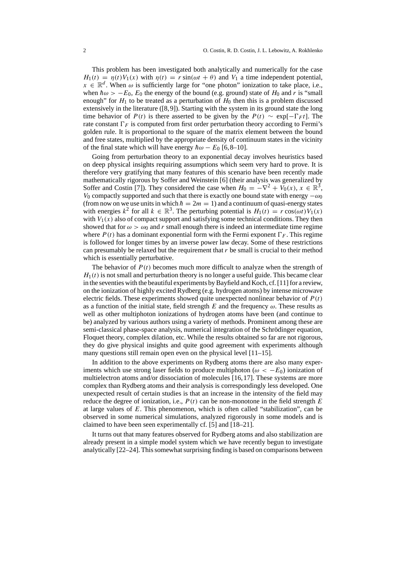This problem has been investigated both analytically and numerically for the case  $H_1(t) = \eta(t) V_1(x)$  with  $\eta(t) = r \sin(\omega t + \theta)$  and  $V_1$  a time independent potential,  $x \in \mathbb{R}^d$ . When  $\omega$  is sufficiently large for "one photon" ionization to take place, i.e., when  $\hbar \omega > -E_0$ ,  $E_0$  the energy of the bound (e.g. ground) state of  $H_0$  and r is "small enough" for  $H_1$  to be treated as a perturbation of  $H_0$  then this is a problem discussed extensively in the literature ([8,9]). Starting with the system in its ground state the long time behavior of  $P(t)$  is there asserted to be given by the  $P(t) \sim \exp[-\Gamma_F t]$ . The rate constant  $\Gamma_F$  is computed from first order perturbation theory according to Fermi's golden rule. It is proportional to the square of the matrix element between the bound and free states, multiplied by the appropriate density of continuum states in the vicinity of the final state which will have energy  $\hbar \omega - E_0$  [6,8–10].

Going from perturbation theory to an exponential decay involves heuristics based on deep physical insights requiring assumptions which seem very hard to prove. It is therefore very gratifying that many features of this scenario have been recently made mathematically rigorous by Soffer and Weinstein [6] (their analysis was generalized by Soffer and Costin [7]). They considered the case when  $H_0 = -\nabla^2 + V_0(x), x \in \mathbb{R}^3$ , V<sub>0</sub> compactly supported and such that there is exactly one bound state with energy  $-\omega_0$ (from now on we use units in which  $\hbar = 2m = 1$ ) and a continuum of quasi-energy states with energies  $k^2$  for all  $k \in \mathbb{R}^3$ . The perturbing potential is  $H_1(t) = r \cos(\omega t) V_1(x)$ with  $V_1(x)$  also of compact support and satisfying some technical conditions. They then showed that for  $\omega > \omega_0$  and r small enough there is indeed an intermediate time regime where  $P(t)$  has a dominant exponential form with the Fermi exponent  $\Gamma_F$ . This regime is followed for longer times by an inverse power law decay. Some of these restrictions can presumably be relaxed but the requirement that  $r$  be small is crucial to their method which is essentially perturbative.

The behavior of  $P(t)$  becomes much more difficult to analyze when the strength of  $H_1(t)$  is not small and perturbation theory is no longer a useful guide. This became clear in the seventies with the beautiful experiments by Bayfield and Koch, cf. [11] for a review, on the ionization of highly excited Rydberg (e.g. hydrogen atoms) by intense microwave electric fields. These experiments showed quite unexpected nonlinear behavior of  $P(t)$ as a function of the initial state, field strength E and the frequency  $\omega$ . These results as well as other multiphoton ionizations of hydrogen atoms have been (and continue to be) analyzed by various authors using a variety of methods. Prominent among these are semi-classical phase-space analysis, numerical integration of the Schrödinger equation, Floquet theory, complex dilation, etc. While the results obtained so far are not rigorous, they do give physical insights and quite good agreement with experiments although many questions still remain open even on the physical level [11–15].

In addition to the above experiments on Rydberg atoms there are also many experiments which use strong laser fields to produce multiphoton ( $\omega < -E_0$ ) ionization of multielectron atoms and/or dissociation of molecules [16,17]. These systems are more complex than Rydberg atoms and their analysis is correspondingly less developed. One unexpected result of certain studies is that an increase in the intensity of the field may reduce the degree of ionization, i.e.,  $P(t)$  can be non-monotone in the field strength E at large values of  $E$ . This phenomenon, which is often called "stabilization", can be observed in some numerical simulations, analyzed rigorously in some models and is claimed to have been seen experimentally cf. [5] and [18–21].

It turns out that many features observed for Rydberg atoms and also stabilization are already present in a simple model system which we have recently begun to investigate analytically [22–24]. This somewhat surprising finding is based on comparisons between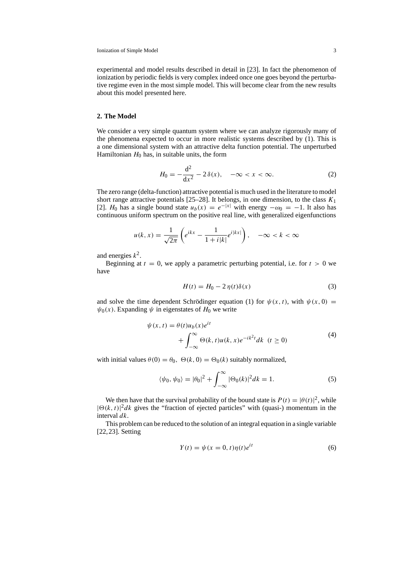experimental and model results described in detail in [23]. In fact the phenomenon of ionization by periodic fields is very complex indeed once one goes beyond the perturbative regime even in the most simple model. This will become clear from the new results about this model presented here.

# **2. The Model**

We consider a very simple quantum system where we can analyze rigorously many of the phenomena expected to occur in more realistic systems described by (1). This is a one dimensional system with an attractive delta function potential. The unperturbed Hamiltonian  $H_0$  has, in suitable units, the form

$$
H_0 = -\frac{d^2}{dx^2} - 2\,\delta(x), \quad -\infty < x < \infty. \tag{2}
$$

The zero range (delta-function) attractive potential is much used in the literature to model short range attractive potentials [25–28]. It belongs, in one dimension, to the class  $K_1$ [2]. H<sub>0</sub> has a single bound state  $u_b(x) = e^{-|x|}$  with energy  $-\omega_0 = -1$ . It also has continuous uniform spectrum on the positive real line, with generalized eigenfunctions

$$
u(k,x) = \frac{1}{\sqrt{2\pi}} \left( e^{ikx} - \frac{1}{1+i|k|} e^{i|kx|} \right), \quad -\infty < k < \infty
$$

and energies  $k^2$ .

Beginning at  $t = 0$ , we apply a parametric perturbing potential, i.e. for  $t > 0$  we have

$$
H(t) = H_0 - 2\eta(t)\delta(x)
$$
\n(3)

and solve the time dependent Schrödinger equation (1) for  $\psi(x, t)$ , with  $\psi(x, 0) =$  $\psi_0(x)$ . Expanding  $\psi$  in eigenstates of  $H_0$  we write

$$
\psi(x,t) = \theta(t)u_b(x)e^{it}
$$
  
+ 
$$
\int_{-\infty}^{\infty} \Theta(k,t)u(k,x)e^{-ik^2t}dk \quad (t \ge 0)
$$
 (4)

with initial values  $\theta(0) = \theta_0$ ,  $\Theta(k, 0) = \Theta_0(k)$  suitably normalized,

$$
\langle \psi_0, \psi_0 \rangle = |\theta_0|^2 + \int_{-\infty}^{\infty} |\Theta_0(k)|^2 dk = 1.
$$
 (5)

We then have that the survival probability of the bound state is  $P(t) = |\theta(t)|^2$ , while  $|\Theta(k, t)|^2 dk$  gives the "fraction of ejected particles" with (quasi-) momentum in the interval dk.

This problem can be reduced to the solution of an integral equation in a single variable [22,23]. Setting

$$
Y(t) = \psi(x = 0, t)\eta(t)e^{it}
$$
\n(6)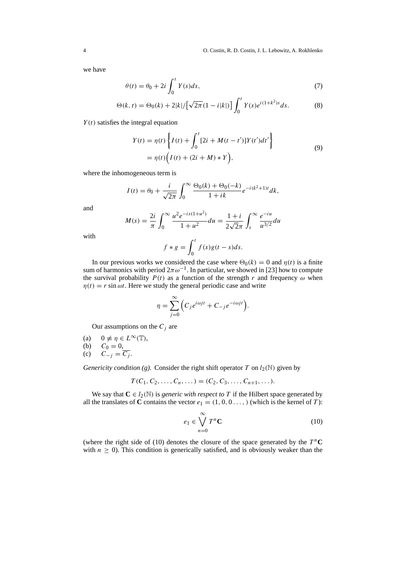we have

$$
\theta(t) = \theta_0 + 2i \int_0^t Y(s)ds,\tag{7}
$$

$$
\Theta(k,t) = \Theta_0(k) + 2|k| / \left[\sqrt{2\pi}(1-i|k|)\right] \int_0^t Y(s)e^{i(1+k^2)s} ds.
$$
 (8)

 $Y(t)$  satisfies the integral equation

$$
Y(t) = \eta(t) \left\{ I(t) + \int_0^t [2i + M(t - t')] Y(t') dt' \right\}
$$
  
=  $\eta(t) \Big( I(t) + (2i + M) * Y \Big),$  (9)

where the inhomogeneous term is

$$
I(t) = \theta_0 + \frac{i}{\sqrt{2\pi}} \int_0^\infty \frac{\Theta_0(k) + \Theta_0(-k)}{1 + ik} e^{-i(k^2 + 1)t} dk,
$$

and

$$
M(s) = \frac{2i}{\pi} \int_0^\infty \frac{u^2 e^{-is(1+u^2)}}{1+u^2} du = \frac{1+i}{2\sqrt{2\pi}} \int_s^\infty \frac{e^{-iu}}{u^{3/2}} du
$$

with

$$
f * g = \int_0^t f(s)g(t-s)ds.
$$

In our previous works we considered the case where  $\Theta_0(k) = 0$  and  $\eta(t)$  is a finite sum of harmonics with period  $2\pi\omega^{-1}$ . In particular, we showed in [23] how to compute the survival probability  $P(t)$  as a function of the strength r and frequency  $\omega$  when  $\eta(t) = r \sin \omega t$ . Here we study the general periodic case and write

$$
\eta = \sum_{j=0}^{\infty} \Big( C_j e^{i\omega j t} + C_{-j} e^{-i\omega j t} \Big).
$$

Our assumptions on the  $C_i$  are

- (a)  $0 \neq \eta \in L^{\infty}(\mathbb{T}),$
- (b)  $C_0 = 0$ ,
- (c)  $C_{-j} = \overline{C_j}$ .

*Genericity condition (g).* Consider the right shift operator T on  $l_2(\mathbb{N})$  given by

$$
T(C_1, C_2, \ldots, C_n, \ldots) = (C_2, C_3, \ldots, C_{n+1}, \ldots).
$$

We say that  $C \in l_2(\mathbb{N})$  is *generic with respect to* T if the Hilbert space generated by all the translates of **C** contains the vector  $e_1 = (1, 0, 0, \ldots)$  (which is the kernel of *T*):

$$
e_1 \in \bigvee_{n=0}^{\infty} T^n \mathbf{C} \tag{10}
$$

(where the right side of (10) denotes the closure of the space generated by the  $T<sup>n</sup>C$ with  $n \geq 0$ ). This condition is generically satisfied, and is obviously weaker than the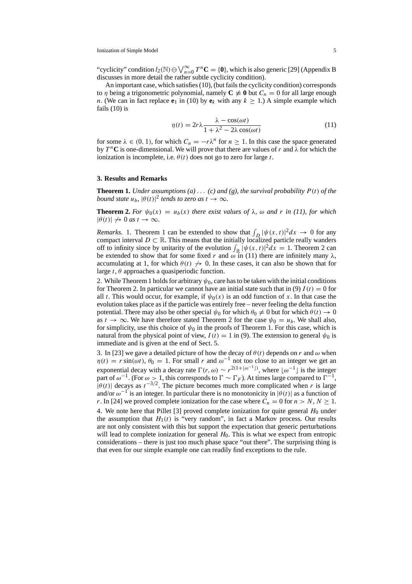"cyclicity" condition  $l_2(\mathbb{N}) \ominus \bigvee_{n=0}^{\infty} T^n \mathbf{C} = \{0\}$ , which is also generic [29] (Appendix B discusses in more detail the rather subtle cyclicity condition).

An important case, which satisfies (10), (but fails the cyclicity condition) corresponds to  $\eta$  being a trigonometric polynomial, namely  $C \neq 0$  but  $C_n = 0$  for all large enough n. (We can in fact replace  $e_1$  in (10) by  $e_k$  with any  $k > 1$ .) A simple example which fails (10) is

$$
\eta(t) = 2r\lambda \frac{\lambda - \cos(\omega t)}{1 + \lambda^2 - 2\lambda \cos(\omega t)}
$$
(11)

for some  $\lambda \in (0, 1)$ , for which  $C_n = -r\lambda^n$  for  $n \ge 1$ . In this case the space generated by  $T^n$ **C** is one-dimensional. We will prove that there are values of r and  $\lambda$  for which the ionization is incomplete, i.e.  $\theta(t)$  does not go to zero for large t.

### **3. Results and Remarks**

**Theorem 1.** *Under assumptions* (a) ... (c) and (g), the survival probability  $P(t)$  of the *bound state*  $u_b$ ,  $|\theta(t)|^2$  *tends to zero as*  $t \to \infty$ *.* 

**Theorem 2.** *For*  $\psi_0(x) = u_b(x)$  *there exist values of*  $\lambda$ *,*  $\omega$  *and r in (11), for which*  $|\theta(t)| \nrightarrow 0$  *as*  $t \rightarrow \infty$ *.* 

*Remarks.* 1. Theorem 1 can be extended to show that  $\int_D |\psi(x, t)|^2 dx \to 0$  for any compact interval  $D \subset \mathbb{R}$ . This means that the initially localized particle really wanders off to infinity since by unitarity of the evolution  $\int_{\mathbb{R}} |\psi(x, t)|^2 dx = 1$ . Theorem 2 can be extended to show that for some fixed r and  $\omega$  in (11) there are infinitely many  $\lambda$ , accumulating at 1, for which  $\theta(t) \nrightarrow 0$ . In these cases, it can also be shown that for large t,  $\theta$  approaches a quasiperiodic function.

2. While Theorem 1 holds for arbitrary  $\psi_0$ , care has to be taken with the initial conditions for Theorem 2. In particular we cannot have an initial state such that in (9)  $I(t) = 0$  for all t. This would occur, for example, if  $\psi_0(x)$  is an odd function of x. In that case the evolution takes place as if the particle was entirely free – never feeling the delta function potential. There may also be other special  $\psi_0$  for which  $\theta_0 \neq 0$  but for which  $\theta(t) \to 0$ as  $t \to \infty$ . We have therefore stated Theorem 2 for the case  $\psi_0 = u_b$ . We shall also, for simplicity, use this choice of  $\psi_0$  in the proofs of Theorem 1. For this case, which is natural from the physical point of view,  $I(t) = 1$  in (9). The extension to general  $\psi_0$  is immediate and is given at the end of Sect. 5.

3. In [23] we gave a detailed picture of how the decay of  $\theta(t)$  depends on r and  $\omega$  when  $\eta(t) = r \sin(\omega t), \theta_0 = 1$ . For small r and  $\omega^{-1}$  not too close to an integer we get an exponential decay with a decay rate  $\Gamma(r, \omega) \sim r^{2(1 + \lfloor \omega^{-1} \rfloor)}$ , where  $\lfloor \omega^{-1} \rfloor$  is the integer part of  $\omega^{-1}$ . (For  $\omega > 1$ , this corresponds to  $\Gamma \sim \Gamma_F$ ). At times large compared to  $\Gamma^{-1}$ ,  $|\theta(t)|$  decays as  $t^{-3/2}$ . The picture becomes much more complicated when r is large and/or  $\omega^{-1}$  is an integer. In particular there is no monotonicity in  $|\theta(t)|$  as a function of r. In [24] we proved complete ionization for the case where  $C_n = 0$  for  $n > N, N \ge 1$ . 4. We note here that Pillet [3] proved complete ionization for quite general  $H_0$  under the assumption that  $H_1(t)$  is "very random", in fact a Markov process. Our results are not only consistent with this but support the expectation that generic perturbations will lead to complete ionization for general  $H_0$ . This is what we expect from entropic considerations – there is just too much phase space "out there". The surprising thing is that even for our simple example one can readily find exceptions to the rule.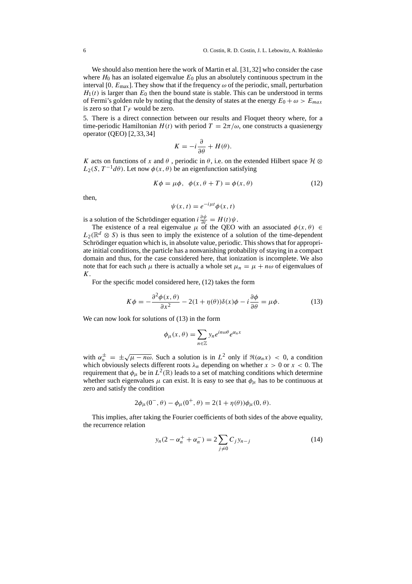We should also mention here the work of Martin et al. [31,32] who consider the case where  $H_0$  has an isolated eigenvalue  $E_0$  plus an absolutely continuous spectrum in the interval [0,  $E_{\text{max}}$ ]. They show that if the frequency  $\omega$  of the periodic, small, perturbation  $H_1(t)$  is larger than  $E_0$  then the bound state is stable. This can be understood in terms of Fermi's golden rule by noting that the density of states at the energy  $E_0 + \omega > E_{max}$ is zero so that  $\Gamma_F$  would be zero.

5. There is a direct connection between our results and Floquet theory where, for a time-periodic Hamiltonian  $H(t)$  with period  $T = 2\pi/\omega$ , one constructs a quasienergy operator (QEO) [2,33,34]

$$
K = -i\frac{\partial}{\partial \theta} + H(\theta).
$$

K acts on functions of x and  $\theta$ , periodic in  $\theta$ , i.e. on the extended Hilbert space  $\mathcal{H} \otimes$  $L_2(S, T^{-1}d\theta)$ . Let now  $\phi(x, \theta)$  be an eigenfunction satisfying

$$
K\phi = \mu\phi, \ \ \phi(x, \theta + T) = \phi(x, \theta) \tag{12}
$$

then,

$$
\psi(x,t) = e^{-i\mu t} \phi(x,t)
$$

is a solution of the Schrödinger equation  $i \frac{\partial \psi}{\partial t} = H(t)\psi$ .

The existence of a real eigenvalue  $\mu$  of the QEO with an associated  $\phi(x, \theta) \in$  $L_2(\mathbb{R}^d \otimes S)$  is thus seen to imply the existence of a solution of the time-dependent Schrödinger equation which is, in absolute value, periodic. This shows that for appropriate initial conditions, the particle has a nonvanishing probability of staying in a compact domain and thus, for the case considered here, that ionization is incomplete. We also note that for each such  $\mu$  there is actually a whole set  $\mu_n = \mu + n\omega$  of eigenvalues of  $K<sub>1</sub>$ 

For the specific model considered here, (12) takes the form

$$
K\phi = -\frac{\partial^2 \phi(x,\theta)}{\partial x^2} - 2(1+\eta(\theta))\delta(x)\phi - i\frac{\partial \phi}{\partial \theta} = \mu\phi.
$$
 (13)

We can now look for solutions of  $(13)$  in the form

$$
\phi_{\mu}(x,\theta) = \sum_{n\in\mathbb{Z}} y_n e^{in\omega\theta} e^{\alpha_n x}
$$

with  $\alpha_n^{\pm} = \pm \sqrt{\mu - n\omega}$ . Such a solution is in  $L^2$  only if  $\Re(\alpha_n x) < 0$ , a condition which obviously selects different roots  $\lambda_n$  depending on whether  $x > 0$  or  $x < 0$ . The requirement that  $\phi_{\mu}$  be in  $L^2(\mathbb{R})$  leads to a set of matching conditions which determine whether such eigenvalues  $\mu$  can exist. It is easy to see that  $\phi_{\mu}$  has to be continuous at zero and satisfy the condition

$$
2\phi_{\mu}(0^{-},\theta) - \phi_{\mu}(0^{+},\theta) = 2(1 + \eta(\theta))\phi_{\mu}(0,\theta).
$$

This implies, after taking the Fourier coefficients of both sides of the above equality, the recurrence relation

$$
y_n(2 - \alpha_n^+ + \alpha_n^-) = 2 \sum_{j \neq 0} C_j y_{n-j}
$$
 (14)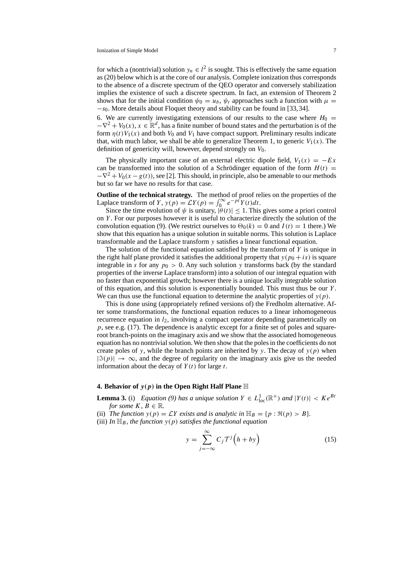for which a (nontrivial) solution  $y_n \in l^2$  is sought. This is effectively the same equation as (20) below which is at the core of our analysis. Complete ionization thus corresponds to the absence of a discrete spectrum of the QEO operator and conversely stabilization implies the existence of such a discrete spectrum. In fact, an extension of Theorem 2 shows that for the initial condition  $\psi_0 = u_b$ ,  $\psi_t$  approaches such a function with  $\mu =$ −s0. More details about Floquet theory and stability can be found in [33,34].

6. We are currently investigating extensions of our results to the case where  $H_0 =$  $-\nabla^2 + V_0(x)$ ,  $x \in \mathbb{R}^d$ , has a finite number of bound states and the perturbation is of the form  $\eta(t)V_1(x)$  and both  $V_0$  and  $V_1$  have compact support. Preliminary results indicate that, with much labor, we shall be able to generalize Theorem 1, to generic  $V_1(x)$ . The definition of genericity will, however, depend strongly on  $V_0$ .

The physically important case of an external electric dipole field,  $V_1(x) = -Ex$ can be transformed into the solution of a Schrödinger equation of the form  $H(t)$  =  $-\nabla^2 + V_0(x - g(t))$ , see [2]. This should, in principle, also be amenable to our methods but so far we have no results for that case.

**Outline of the technical strategy.** The method of proof relies on the properties of the Laplace transform of Y,  $y(p) = \mathcal{L}Y(p) = \int_0^\infty e^{-pt} Y(t) dt$ .

Since the time evolution of  $\psi$  is unitary,  $|\dot{\theta}(t)| \leq 1$ . This gives some a priori control on  $Y$ . For our purposes however it is useful to characterize directly the solution of the convolution equation (9). (We restrict ourselves to  $\Theta_0(k) = 0$  and  $I(t) = 1$  there.) We show that this equation has a unique solution in suitable norms. This solution is Laplace transformable and the Laplace transform y satisfies a linear functional equation.

The solution of the functional equation satisfied by the transform of  $Y$  is unique in the right half plane provided it satisfies the additional property that  $y(p_0 + is)$  is square integrable in s for any  $p_0 > 0$ . Any such solution y transforms back (by the standard properties of the inverse Laplace transform) into a solution of our integral equation with no faster than exponential growth; however there is a unique locally integrable solution of this equation, and this solution is exponentially bounded. This must thus be our  $Y$ . We can thus use the functional equation to determine the analytic properties of  $y(p)$ .

This is done using (appropriately refined versions of) the Fredholm alternative. After some transformations, the functional equation reduces to a linear inhomogeneous recurrence equation in  $l_2$ , involving a compact operator depending parametrically on p, see e.g. (17). The dependence is analytic except for a finite set of poles and squareroot branch-points on the imaginary axis and we show that the associated homogeneous equation has no nontrivial solution. We then show that the poles in the coefficients do not create poles of y, while the branch points are inherited by y. The decay of  $y(p)$  when  $|\Im(p)| \to \infty$ , and the degree of regularity on the imaginary axis give us the needed information about the decay of  $Y(t)$  for large t.

# **4. Behavior of**  $y(p)$  in the Open Right Half Plane  $\mathbb H$

**Lemma 3.** (i) *Equation (9) has a unique solution*  $Y \in L^1_{loc}(\mathbb{R}^+)$  *and*  $|Y(t)| < Ke^{Bt}$ *for some*  $K, B \in \mathbb{R}$ *.* 

- (ii) *The function*  $y(p) = \mathcal{L}Y$  *exists and is analytic in*  $\mathbb{H}_B = \{p : \Re(p) > B\}.$
- (iii) In  $\mathbb{H}_B$ , the function  $y(p)$  satisfies the functional equation

$$
y = \sum_{j=-\infty}^{\infty} C_j \mathcal{T}^j \left( h + b y \right) \tag{15}
$$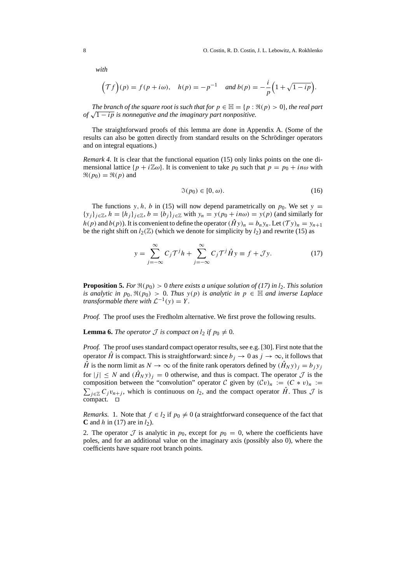*with*

$$
(\mathcal{T}f)(p) = f(p + i\omega), \quad h(p) = -p^{-1} \quad \text{and } b(p) = -\frac{i}{p}\Big(1 + \sqrt{1 - ip}\Big).
$$

*The branch of the square root is such that for*  $p \in \mathbb{H} = \{p : \Re(p) > 0\}$ *, the real part of*  $\sqrt{1 - ip}$  *is nonnegative and the imaginary part nonpositive.* 

The straightforward proofs of this lemma are done in Appendix A. (Some of the results can also be gotten directly from standard results on the Schrödinger operators and on integral equations.)

*Remark 4.* It is clear that the functional equation (15) only links points on the one dimensional lattice  $\{p + i\mathbb{Z}\omega\}$ . It is convenient to take  $p_0$  such that  $p = p_0 + i n\omega$  with  $\Re(p_0) = \Re(p)$  and

$$
\mathfrak{I}(p_0) \in [0, \omega). \tag{16}
$$

The functions y, h, b in (15) will now depend parametrically on  $p_0$ . We set y =  ${y_i}_{i\in\mathbb{Z}}$ ,  $h = {h_i}_{i\in\mathbb{Z}}$ ,  $b = {b_i}_{i\in\mathbb{Z}}$  with  $y_n = y(p_0 + in\omega) = y(p)$  (and similarly for  $h(p)$  and  $b(p)$ ). It is convenient to define the operator  $(\hat{H}y)_n = b_ny_n$ . Let  $(\mathcal{T}y)_n = y_{n+1}$ be the right shift on  $l_2(\mathbb{Z})$  (which we denote for simplicity by  $l_2$ ) and rewrite (15) as

$$
y = \sum_{j=-\infty}^{\infty} C_j \mathcal{T}^j h + \sum_{j=-\infty}^{\infty} C_j \mathcal{T}^j \hat{H} y \equiv f + \mathcal{J} y.
$$
 (17)

**Proposition 5.** *For*  $\Re(p_0) > 0$  *there exists a unique solution of (17) in*  $l_2$ *. This solution is analytic in*  $p_0$ ,  $\Re(p_0) > 0$ . Thus  $y(p)$  *is analytic in*  $p \in \mathbb{H}$  *and inverse Laplace transformable there with*  $\mathcal{L}^{-1}(y) = Y$ .

*Proof.* The proof uses the Fredholm alternative. We first prove the following results.

**Lemma 6.** *The operator*  $\mathcal J$  *is compact on*  $l_2$  *if*  $p_0 \neq 0$ *.* 

*Proof.* The proof uses standard compact operator results, see e.g. [30]. First note that the operator  $\hat{H}$  is compact. This is straightforward: since  $b_i \to 0$  as  $j \to \infty$ , it follows that  $\hat{H}$  is the norm limit as  $N \to \infty$  of the finite rank operators defined by  $(\hat{H}_N y)_j = b_j y_j$ for  $|j| \le N$  and  $(\hat{H}_N y)_i = 0$  otherwise, and thus is compact. The operator  $\mathcal J$  is the composition between the "convolution" operator C given by  $(Cv)_n := (C * v)_n :=$  $\sum_{j\in\mathbb{Z}} C_j v_{n+j}$ , which is continuous on  $l_2$ , and the compact operator  $\hat{H}$ . Thus  $\mathcal J$  is  $compact.  $\Box$$ 

*Remarks.* 1. Note that  $f \in l_2$  if  $p_0 \neq 0$  (a straightforward consequence of the fact that **C** and h in (17) are in  $l_2$ ).

2. The operator  $\mathcal J$  is analytic in  $p_0$ , except for  $p_0 = 0$ , where the coefficients have poles, and for an additional value on the imaginary axis (possibly also 0), where the coefficients have square root branch points.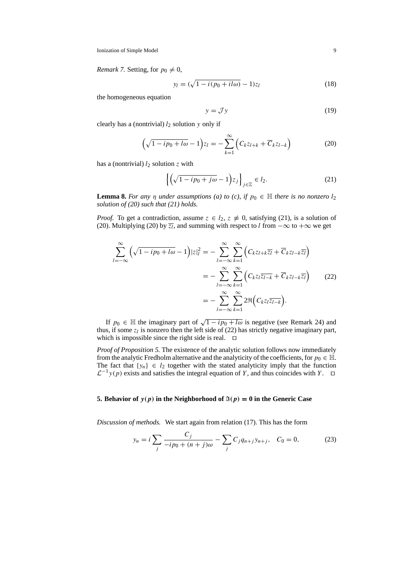*Remark 7.* Setting, for  $p_0 \neq 0$ ,

$$
y_l = (\sqrt{1 - i(p_0 + il\omega)} - 1)z_l \tag{18}
$$

the homogeneous equation

$$
y = \mathcal{J}y \tag{19}
$$

clearly has a (nontrivial)  $l_2$  solution y only if

$$
\left(\sqrt{1-ip_0+l\omega}-1\right)z_l=-\sum_{k=1}^{\infty}\left(C_kz_{l+k}+\overline{C}_kz_{l-k}\right)
$$
\n(20)

has a (nontrivial)  $l_2$  solution z with

$$
\left\{ \left( \sqrt{1 - ip_0 + j\omega} - 1 \right) z_j \right\}_{j \in \mathbb{Z}} \in l_2. \tag{21}
$$

**Lemma 8.** *For any*  $\eta$  *under assumptions (a) to (c), if*  $p_0 \in \mathbb{H}$  *there is no nonzero*  $l_2$ *solution of (20) such that (21) holds.*

*Proof.* To get a contradiction, assume  $z \in l_2$ ,  $z \neq 0$ , satisfying (21), is a solution of (20). Multiplying (20) by  $\overline{z_l}$ , and summing with respect to l from  $-\infty$  to  $+\infty$  we get

$$
\sum_{l=-\infty}^{\infty} \left( \sqrt{1 - ip_0 + l\omega} - 1 \right) |z|_l^2 = -\sum_{l=-\infty}^{\infty} \sum_{k=1}^{\infty} \left( C_k z_{l+k} \overline{z}_l + \overline{C}_k z_{l-k} \overline{z}_l \right)
$$

$$
= -\sum_{l=-\infty}^{\infty} \sum_{k=1}^{\infty} \left( C_k z_l \overline{z}_{l-k} + \overline{C}_k z_{l-k} \overline{z}_l \right) \tag{22}
$$

$$
= -\sum_{l=-\infty}^{\infty} \sum_{k=1}^{\infty} 2 \Re \left( C_k z_l \overline{z}_{l-k} \right).
$$

If  $p_0 \in \mathbb{H}$  the imaginary part of  $\sqrt{1 - ip_0 + l\omega}$  is negative (see Remark 24) and thus, if some  $z_l$  is nonzero then the left side of (22) has strictly negative imaginary part, which is impossible since the right side is real.  $\Box$ 

*Proof of Proposition 5.* The existence of the analytic solution follows now immediately from the analytic Fredholm alternative and the analyticity of the coefficients, for  $p_0 \in \mathbb{H}$ . The fact that  $\{y_n\} \in l_2$  together with the stated analyticity imply that the function  $\mathcal{L}^{-1}y(p)$  exists and satisfies the integral equation of Y, and thus coincides with Y.  $\Box$ 

#### **5. Behavior of**  $y(p)$  in the Neighborhood of  $\mathfrak{F}(p) = 0$  in the Generic Case

*Discussion of methods.* We start again from relation (17). This has the form

$$
y_n = i \sum_j \frac{C_j}{-ip_0 + (n+j)\omega} - \sum_j C_j q_{n+j} y_{n+j}, \quad C_0 = 0,
$$
 (23)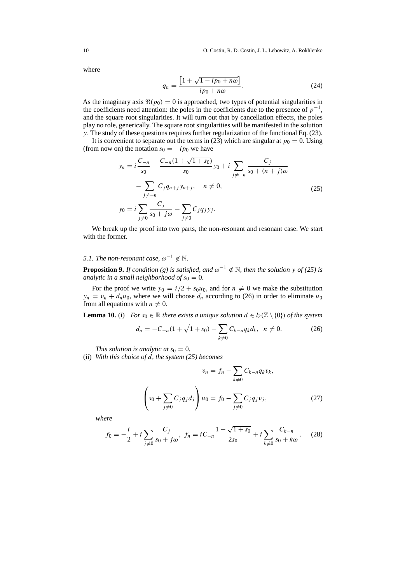where

$$
q_n = \frac{\left[1 + \sqrt{1 - ip_0 + n\omega}\right]}{-ip_0 + n\omega}.\tag{24}
$$

As the imaginary axis  $\Re(p_0) = 0$  is approached, two types of potential singularities in the coefficients need attention: the poles in the coefficients due to the presence of  $p^{-1}$ , and the square root singularities. It will turn out that by cancellation effects, the poles play no role, generically. The square root singularities will be manifested in the solution y. The study of these questions requires further regularization of the functional Eq. (23).

It is convenient to separate out the terms in (23) which are singular at  $p_0 = 0$ . Using (from now on) the notation  $s_0 = -ip_0$  we have

$$
y_n = i \frac{C_{-n}}{s_0} - \frac{C_{-n}(1 + \sqrt{1 + s_0})}{s_0} y_0 + i \sum_{j \neq -n} \frac{C_j}{s_0 + (n + j)\omega}
$$

$$
- \sum_{j \neq -n} C_j q_{n+j} y_{n+j}, \quad n \neq 0,
$$

$$
y_0 = i \sum_{j \neq 0} \frac{C_j}{s_0 + j\omega} - \sum_{j \neq 0} C_j q_j y_j.
$$
(25)

We break up the proof into two parts, the non-resonant and resonant case. We start with the former.

# *5.1. The non-resonant case,*  $\omega^{-1} \notin \mathbb{N}$ .

**Proposition 9.** *If condition* (g) is satisfied, and  $\omega^{-1} \notin \mathbb{N}$ , then the solution y *of* (25) is *analytic in a small neighborhood of*  $s_0 = 0$ .

For the proof we write  $y_0 = i/2 + s_0u_0$ , and for  $n \neq 0$  we make the substitution  $y_n = v_n + d_n u_0$ , where we will choose  $d_n$  according to (26) in order to eliminate  $u_0$ from all equations with  $n \neq 0$ .

**Lemma 10.** (i) *For*  $s_0 \in \mathbb{R}$  *there exists a unique solution*  $d \in l_2(\mathbb{Z} \setminus \{0\})$  *of the system* 

$$
d_n = -C_{-n}(1 + \sqrt{1 + s_0}) - \sum_{k \neq 0} C_{k-n} q_k d_k, \ \ n \neq 0. \tag{26}
$$

*This solution is analytic at*  $s_0 = 0$ *.* 

(ii) *With this choice of* d*, the system (25) becomes*

$$
v_n = f_n - \sum_{k \neq 0} C_{k-n} q_k v_k,
$$
  

$$
\left( s_0 + \sum_{j \neq 0} C_j q_j d_j \right) u_0 = f_0 - \sum_{j \neq 0} C_j q_j v_j,
$$
 (27)

*where*

$$
f_0 = -\frac{i}{2} + i \sum_{j \neq 0} \frac{C_j}{s_0 + j\omega}, \ f_n = iC_{-n} \frac{1 - \sqrt{1 + s_0}}{2s_0} + i \sum_{k \neq 0} \frac{C_{k-n}}{s_0 + k\omega}.
$$
 (28)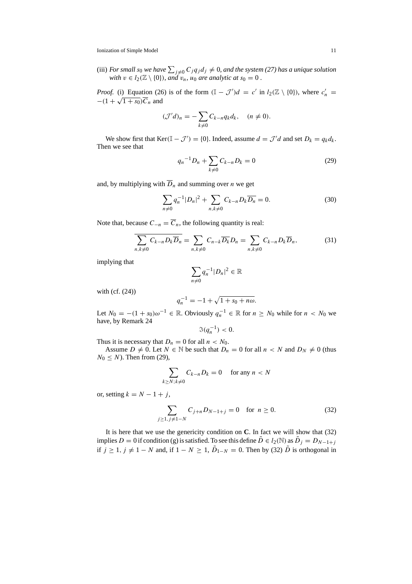Ionization of Simple Model 11

(iii) *For small s*<sub>0</sub> we have  $\sum_{j\neq 0} C_j q_j d_j \neq 0$ , and the system (27) has a unique solution *with*  $v \in l_2(\mathbb{Z} \setminus \{0\})$ *, and*  $v_n$ *, u<sub>0</sub> are analytic at*  $s_0 = 0$ *.* 

*Proof.* (i) Equation (26) is of the form  $(\mathbb{I} - \mathcal{J}')d = c'$  in  $l_2(\mathbb{Z} \setminus \{0\})$ , where  $c'_n =$  $-(1 + \sqrt{1 + s_0})\overline{C}_n$  and

$$
(\mathcal{J}'d)_n = -\sum_{k\neq 0} C_{k-n} q_k d_k, \quad (n \neq 0).
$$

We show first that  $\text{Ker}(\mathbb{I} - \mathcal{J}') = \{0\}$ . Indeed, assume  $d = \mathcal{J}'d$  and set  $D_k = q_k d_k$ . Then we see that

$$
q_n^{-1}D_n + \sum_{k \neq 0} C_{k-n}D_k = 0
$$
 (29)

and, by multiplying with  $\overline{D}_n$  and summing over *n* we get

$$
\sum_{n\neq 0} q_n^{-1} |D_n|^2 + \sum_{n,k\neq 0} C_{k-n} D_k \overline{D_n} = 0.
$$
 (30)

Note that, because  $C_{-n} = \overline{C}_n$ , the following quantity is real:

$$
\sum_{n,k\neq 0} C_{k-n} D_k \overline{D}_n = \sum_{n,k\neq 0} C_{n-k} \overline{D_k} D_n = \sum_{n,k\neq 0} C_{k-n} D_k \overline{D}_n, \tag{31}
$$

implying that

$$
\sum_{n\neq 0} q_n^{-1} |D_n|^2 \in \mathbb{R}
$$

with (cf. (24))

$$
q_n^{-1} = -1 + \sqrt{1 + s_0 + n\omega}.
$$

Let  $N_0 = -(1 + s_0)\omega^{-1} \in \mathbb{R}$ . Obviously  $q_n^{-1} \in \mathbb{R}$  for  $n \geq N_0$  while for  $n < N_0$  we have, by Remark 24

 $\Im(q_n^{-1}) < 0.$ 

Thus it is necessary that  $D_n = 0$  for all  $n < N_0$ .

Assume  $D \neq 0$ . Let  $N \in \mathbb{N}$  be such that  $D_n = 0$  for all  $n < N$  and  $D_N \neq 0$  (thus  $N_0 \leq N$ ). Then from (29),

$$
\sum_{k \ge N; k \ne 0} C_{k-n} D_k = 0 \quad \text{ for any } n < N
$$

or, setting  $k = N - 1 + j$ ,

$$
\sum_{j\geq 1, j\neq 1-N} C_{j+n} D_{N-1+j} = 0 \quad \text{for } n \geq 0.
$$
 (32)

It is here that we use the genericity condition on **C**. In fact we will show that (32) implies D = 0 if condition (g) is satisfied. To see this define  $\tilde{D} \in l_2(\mathbb{N})$  as  $\tilde{D}_j = D_{N-1+j}$ if  $j \ge 1$ ,  $j \ne 1 - N$  and, if  $1 - N \ge 1$ ,  $\tilde{D}_{1-N} = 0$ . Then by (32)  $\tilde{D}$  is orthogonal in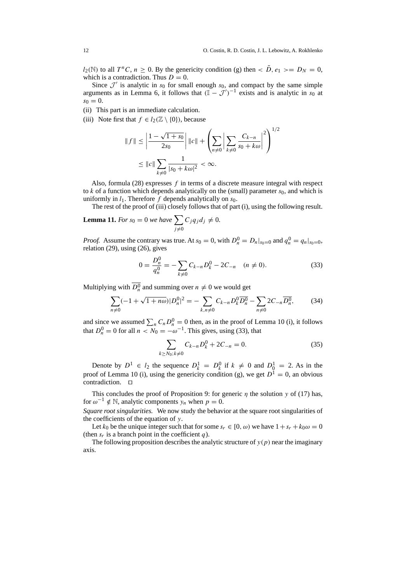$l_2(\mathbb{N})$  to all  $T^nC, n \geq 0$ . By the genericity condition (g) then  $\langle D, e_1 \rangle = D_N = 0$ , which is a contradiction. Thus  $D = 0$ .

Since  $\mathcal{J}'$  is analytic in  $s_0$  for small enough  $s_0$ , and compact by the same simple arguments as in Lemma 6, it follows that  $(\mathbb{I} - \mathcal{J}')^{-1}$  exists and is analytic in  $s_0$  at  $s_0 = 0$ .

- (ii) This part is an immediate calculation.
- (iii) Note first that  $f \in l_2(\mathbb{Z} \setminus \{0\})$ , because

$$
||f|| \le \left| \frac{1 - \sqrt{1 + s_0}}{2s_0} \right| ||c|| + \left( \sum_{n \ne 0} \left| \sum_{k \ne 0} \frac{C_{k-n}}{s_0 + k\omega} \right|^2 \right)^{1/2}
$$
  

$$
\le ||c|| \sum_{k \ne 0} \frac{1}{|s_0 + k\omega|^2} < \infty.
$$

Also, formula  $(28)$  expresses f in terms of a discrete measure integral with respect to k of a function which depends analytically on the (small) parameter  $s_0$ , and which is uniformly in  $l_1$ . Therefore f depends analytically on  $s_0$ .

The rest of the proof of (iii) closely follows that of part (i), using the following result.

**Lemma 11.** For 
$$
s_0 = 0
$$
 we have  $\sum_{j \neq 0} C_j q_j d_j \neq 0$ .

*Proof.* Assume the contrary was true. At  $s_0 = 0$ , with  $D_n^0 = D_n|_{s_0=0}$  and  $q_n^0 = q_n|_{s_0=0}$ , relation (29), using (26), gives

$$
0 = \frac{D_n^0}{q_n^0} = -\sum_{k \neq 0} C_{k-n} D_k^0 - 2C_{-n} \quad (n \neq 0).
$$
 (33)

Multiplying with  $D_n^0$  and summing over  $n \neq 0$  we would get

$$
\sum_{n\neq 0}(-1+\sqrt{1+n\omega})|D_n^0|^2 = -\sum_{k,n\neq 0}C_{k-n}D_k^0\overline{D_n^0} - \sum_{n\neq 0}2C_{-n}\overline{D_n^0},\tag{34}
$$

and since we assumed  $\sum_n C_n D_n^0 = 0$  then, as in the proof of Lemma 10 (i), it follows that  $D_n^0 = 0$  for all  $n < N_0 = -\omega^{-1}$ . This gives, using (33), that

$$
\sum_{k \ge N_0; k \neq 0} C_{k-n} D_k^0 + 2C_{-n} = 0.
$$
 (35)

Denote by  $D^1 \in l_2$  the sequence  $D_k^1 = D_k^0$  if  $k \neq 0$  and  $D_0^1 = 2$ . As in the proof of Lemma 10 (i), using the genericity condition (g), we get  $D^{\tilde{1}} = 0$ , an obvious contradiction.  $\Box$ 

This concludes the proof of Proposition 9: for generic  $\eta$  the solution y of (17) has, for  $\omega^{-1} \notin \mathbb{N}$ , analytic components y<sub>n</sub> when  $p = 0$ .

*Square root singularities.* We now study the behavior at the square root singularities of the coefficients of the equation of  $y$ .

Let  $k_0$  be the unique integer such that for some  $s_r \in [0, \omega)$  we have  $1 + s_r + k_0 \omega = 0$ (then  $s_r$  is a branch point in the coefficient q).

The following proposition describes the analytic structure of  $y(p)$  near the imaginary axis.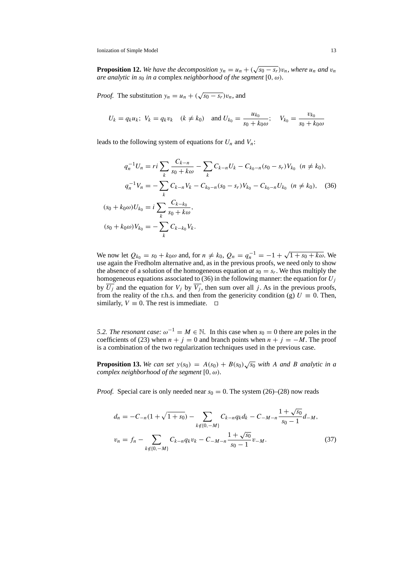**Proposition 12.** We have the decomposition  $y_n = u_n + (\sqrt{s_0 - s_r})v_n$ , where  $u_n$  and  $v_n$ *are analytic in*  $s_0$  *in a* complex *neighborhood of the segment* [0,  $\omega$ ).

*Proof.* The substitution  $y_n = u_n + (\sqrt{s_0 - s_r})v_n$ , and

$$
U_k = q_k u_k; V_k = q_k v_k
$$
  $(k \neq k_0)$  and  $U_{k_0} = \frac{u_{k_0}}{s_0 + k_0 \omega}; V_{k_0} = \frac{v_{k_0}}{s_0 + k_0 \omega}$ 

leads to the following system of equations for  $U_n$  and  $V_n$ :

$$
q_n^{-1}U_n = ri \sum_{k} \frac{C_{k-n}}{s_0 + k\omega} - \sum_{k} C_{k-n}U_k - C_{k_0-n}(s_0 - s_r)V_{k_0} \quad (n \neq k_0),
$$
  

$$
q_n^{-1}V_n = -\sum_{k} C_{k-n}V_k - C_{k_0-n}(s_0 - s_r)V_{k_0} - C_{k_0-n}U_{k_0} \quad (n \neq k_0), \quad (36)
$$
  

$$
(s_0 + k_0\omega)U_{k_0} = i \sum_{k} \frac{C_{k-k_0}}{s_0 + k\omega},
$$
  

$$
(s_0 + k_0\omega)V_{k_0} = -\sum_{k} C_{k-k_0}V_k.
$$

We now let  $Q_{k_0} = s_0 + k_0 \omega$  and, for  $n \neq k_0$ ,  $Q_n = q_n^{-1} = -1 + \sqrt{1 + s_0 + k \omega}$ . We use again the Fredholm alternative and, as in the previous proofs, we need only to show the absence of a solution of the homogeneous equation  $at s_0 = s_r$ . We thus multiply the homogeneous equations associated to (36) in the following manner: the equation for  $U_i$ by  $\overline{U_j}$  and the equation for  $V_j$  by  $\overline{V_j}$ , then sum over all j. As in the previous proofs, from the reality of the r.h.s. and then from the genericity condition (g)  $U \equiv 0$ . Then, similarly,  $V \equiv 0$ . The rest is immediate.  $\Box$ 

*5.2. The resonant case:*  $\omega^{-1} = M \in \mathbb{N}$ . In this case when s<sub>0</sub> = 0 there are poles in the coefficients of (23) when  $n + j = 0$  and branch points when  $n + j = -M$ . The proof is a combination of the two regularization techniques used in the previous case.

**Proposition 13.** We can set  $y(s_0) = A(s_0) + B(s_0)\sqrt{s_0}$  with A and B analytic in a *complex neighborhood of the segment*  $[0, \omega)$ *.* 

*Proof.* Special care is only needed near  $s_0 = 0$ . The system (26)–(28) now reads

$$
d_n = -C_{-n}(1 + \sqrt{1 + s_0}) - \sum_{k \notin \{0, -M\}} C_{k-n} q_k d_k - C_{-M-n} \frac{1 + \sqrt{s_0}}{s_0 - 1} d_{-M},
$$
  

$$
v_n = f_n - \sum_{k \notin \{0, -M\}} C_{k-n} q_k v_k - C_{-M-n} \frac{1 + \sqrt{s_0}}{s_0 - 1} v_{-M}.
$$
 (37)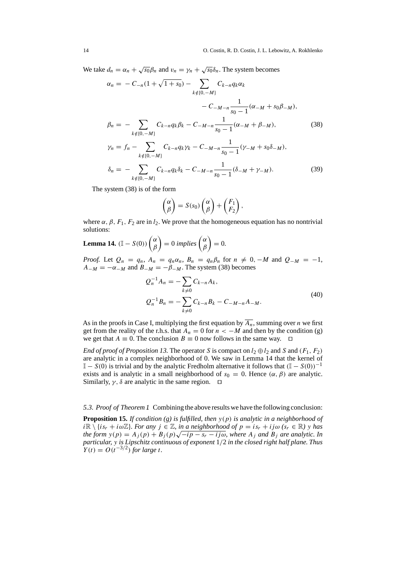We take  $d_n = \alpha_n + \sqrt{s_0} \beta_n$  and  $v_n = \gamma_n + \sqrt{s_0} \delta_n$ . The system becomes

$$
\alpha_n = -C_{-n}(1 + \sqrt{1 + s_0}) - \sum_{k \notin \{0, -M\}} C_{k-n} q_k \alpha_k
$$
  
\n
$$
-C_{-M-n} \frac{1}{s_0 - 1} (\alpha_{-M} + s_0 \beta_{-M}),
$$
  
\n
$$
\beta_n = - \sum_{k \notin \{0, -M\}} C_{k-n} q_k \beta_k - C_{-M-n} \frac{1}{s_0 - 1} (\alpha_{-M} + \beta_{-M}),
$$
  
\n
$$
\gamma_n = f_n - \sum_{k \notin \{0, -M\}} C_{k-n} q_k \gamma_k - C_{-M-n} \frac{1}{s_0 - 1} (\gamma_{-M} + s_0 \delta_{-M}),
$$
  
\n
$$
\delta_n = - \sum_{k \in \{0, -M\}} C_{k-n} q_k \delta_k - C_{-M-n} \frac{1}{s_0 - 1} (\delta_{-M} + \gamma_{-M}).
$$
\n(39)

 $k \notin \{0, -M\}$  $s_0 - 1$ 

The system (38) is of the form

$$
\begin{pmatrix} \alpha \\ \beta \end{pmatrix} = S(s_0) \begin{pmatrix} \alpha \\ \beta \end{pmatrix} + \begin{pmatrix} F_1 \\ F_2 \end{pmatrix},
$$

where  $\alpha$ ,  $\beta$ ,  $F_1$ ,  $F_2$  are in  $l_2$ . We prove that the homogeneous equation has no nontrivial solutions:

**Lemma 14.** 
$$
(I - S(0))
$$
  $\begin{pmatrix} \alpha \\ \beta \end{pmatrix} = 0$  implies  $\begin{pmatrix} \alpha \\ \beta \end{pmatrix} = 0$ .

*Proof.* Let  $Q_n = q_n$ ,  $A_n = q_n \alpha_n$ ,  $B_n = q_n \beta_n$  for  $n \neq 0$ ,  $-M$  and  $Q_{-M} = -1$ ,  $A_{-M} = -\alpha_{-M}$  and  $B_{-M} = -\beta_{-M}$ . The system (38) becomes

$$
Q_n^{-1} A_n = -\sum_{k \neq 0} C_{k-n} A_k,
$$
  
\n
$$
Q_n^{-1} B_n = -\sum_{k \neq 0} C_{k-n} B_k - C_{-M-n} A_{-M}.
$$
\n(40)

As in the proofs in Case I, multiplying the first equation by  $\overline{A_n}$ , summing over *n* we first get from the reality of the r.h.s. that  $A_n = 0$  for  $n < -M$  and then by the condition (g) we get that  $A \equiv 0$ . The conclusion  $B \equiv 0$  now follows in the same way.  $\Box$ 

*End of proof of Proposition 13.* The operator S is compact on  $l_2 \oplus l_2$  and S and  $(F_1, F_2)$ are analytic in a complex neighborhood of 0. We saw in Lemma 14 that the kernel of  $\mathbb{I} - S(0)$  is trivial and by the analytic Fredholm alternative it follows that  $(\mathbb{I} - S(0))^{-1}$ exists and is analytic in a small neighborhood of  $s_0 = 0$ . Hence  $(\alpha, \beta)$  are analytic. Similarly,  $\gamma$ ,  $\delta$  are analytic in the same region.  $\Box$ 

*5.3. Proof of Theorem 1.* Combining the above results we have the following conclusion:

**Proposition 15.** *If condition (g) is fulfilled, then* y(p) *is analytic in a neighborhood of*  $i\mathbb{R} \setminus \{is_r + i\omega\mathbb{Z}\}\text{ for any }j \in \mathbb{Z}$ , in a neighborhood of  $p = is_r + ij\omega$   $(s_r \in \mathbb{R})$  y has *the form*  $y(p) = A_i(p) + B_i(p)\sqrt{-ip - s_r - ij\omega}$ , where  $A_i$  and  $B_i$  are analytic. In *particular,* y *is Lipschitz continuous of exponent* 1/2 *in the closed right half plane. Thus*  $Y(t) = O(t^{-3/2})$  *for large t.*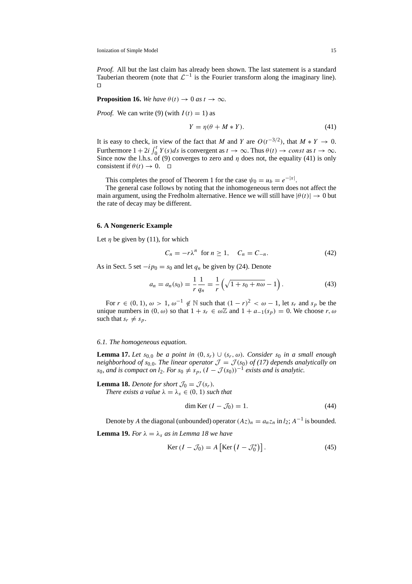*Proof.* All but the last claim has already been shown. The last statement is a standard Tauberian theorem (note that  $\mathcal{L}^{-1}$  is the Fourier transform along the imaginary line).  $\Box$ 

**Proposition 16.** *We have*  $\theta(t) \to 0$  *as*  $t \to \infty$ *.* 

*Proof.* We can write (9) (with  $I(t) = 1$ ) as

$$
Y = \eta(\theta + M * Y). \tag{41}
$$

It is easy to check, in view of the fact that M and Y are  $O(t^{-3/2})$ , that  $M * Y \to 0$ . Furthermore  $1 + 2i \int_0^t Y(s)ds$  is convergent as  $t \to \infty$ . Thus  $\theta(t) \to const$  as  $t \to \infty$ . Since now the l.h.s. of (9) converges to zero and  $\eta$  does not, the equality (41) is only consistent if  $\theta(t) \rightarrow 0$ .  $\Box$ 

This completes the proof of Theorem 1 for the case  $\psi_0 = u_b = e^{-|x|}$ .

The general case follows by noting that the inhomogeneous term does not affect the main argument, using the Fredholm alternative. Hence we will still have  $|\theta(t)| \to 0$  but the rate of decay may be different.

### **6. A Nongeneric Example**

Let  $\eta$  be given by (11), for which

$$
C_n = -r\lambda^n \text{ for } n \ge 1, \quad C_n = C_{-n}.\tag{42}
$$

As in Sect. 5 set  $-i p_0 = s_0$  and let  $q_n$  be given by (24). Denote

$$
a_n = a_n(s_0) = \frac{1}{r} \frac{1}{q_n} = \frac{1}{r} \left( \sqrt{1 + s_0 + n\omega} - 1 \right).
$$
 (43)

For  $r \in (0, 1)$ ,  $\omega > 1$ ,  $\omega^{-1} \notin \mathbb{N}$  such that  $(1 - r)^2 < \omega - 1$ , let  $s_r$  and  $s_p$  be the unique numbers in  $(0, \omega)$  so that  $1 + s_r \in \omega \mathbb{Z}$  and  $1 + a_{-1}(s_p) = 0$ . We choose r,  $\omega$ such that  $s_r \neq s_p$ .

### *6.1. The homogeneous equation.*

**Lemma 17.** Let s<sub>0,0</sub> be a point in  $(0, s_r)$   $\cup$   $(s_r, \omega)$ *. Consider* s<sub>0</sub> in a small enough *neighborhood of*  $s_{0,0}$ *. The linear operator*  $\mathcal{J} = \mathcal{J}(s_0)$  *of* (17) depends analytically on s<sub>0</sub>, and is compact on  $l_2$ . For  $s_0 \neq s_p$ ,  $(I - \mathcal{J}(s_0))^{-1}$  exists and is analytic.

**Lemma 18.** *Denote for short*  $\mathcal{J}_0 = \mathcal{J}(s_r)$ *.* 

*There exists a value*  $\lambda = \lambda_s \in (0, 1)$  *such that* 

$$
\dim \text{Ker} \left( I - \mathcal{J}_0 \right) = 1. \tag{44}
$$

Denote by A the diagonal (unbounded) operator  $(Az)_n = a_n z_n$  in  $l_2$ ; A<sup>-1</sup> is bounded.

**Lemma 19.** *For*  $\lambda = \lambda_s$  *as in Lemma 18 we have* 

$$
\text{Ker}\,(I-\mathcal{J}_0) = A\left[\text{Ker}\left(I-\mathcal{J}_0^*\right)\right].\tag{45}
$$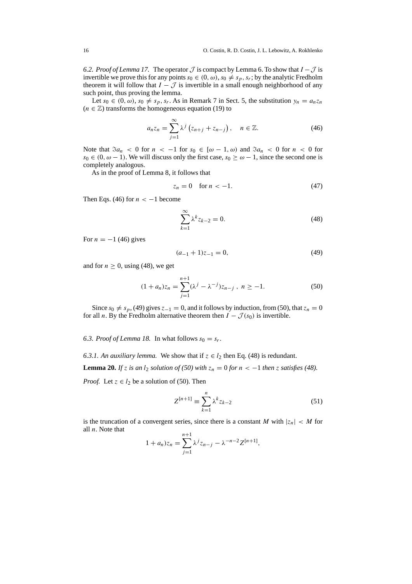6.2. Proof of Lemma 17. The operator  $\mathcal J$  is compact by Lemma 6. To show that  $I - \mathcal J$  is invertible we prove this for any points  $s_0 \in (0, \omega)$ ,  $s_0 \neq s_n$ ,  $s_r$ ; by the analytic Fredholm theorem it will follow that  $I - \mathcal{J}$  is invertible in a small enough neighborhood of any such point, thus proving the lemma.

Let  $s_0 \in (0, \omega)$ ,  $s_0 \neq s_p$ ,  $s_r$ . As in Remark 7 in Sect. 5, the substitution  $y_n = a_n z_n$  $(n \in \mathbb{Z})$  transforms the homogeneous equation (19) to

$$
a_n z_n = \sum_{j=1}^{\infty} \lambda^j \left( z_{n+j} + z_{n-j} \right), \quad n \in \mathbb{Z}.
$$
 (46)

Note that  $\Im a_n < 0$  for  $n < -1$  for  $s_0 \in [\omega - 1, \omega)$  and  $\Im a_n < 0$  for  $n < 0$  for  $s_0 \in (0, \omega - 1)$ . We will discuss only the first case,  $s_0 \ge \omega - 1$ , since the second one is completely analogous.

As in the proof of Lemma 8, it follows that

$$
z_n = 0 \quad \text{for } n < -1. \tag{47}
$$

Then Eqs. (46) for  $n < -1$  become

$$
\sum_{k=1}^{\infty} \lambda^k z_{k-2} = 0.
$$
\n(48)

For  $n = -1$  (46) gives

$$
(a_{-1} + 1)z_{-1} = 0,\t\t(49)
$$

and for  $n \geq 0$ , using (48), we get

$$
(1 + a_n)z_n = \sum_{j=1}^{n+1} (\lambda^j - \lambda^{-j})z_{n-j}, \ n \ge -1. \tag{50}
$$

Since  $s_0 \neq s_p$ , (49) gives  $z_{-1} = 0$ , and it follows by induction, from (50), that  $z_n = 0$ for all *n*. By the Fredholm alternative theorem then  $I - \mathcal{J}(s_0)$  is invertible.

6.3. Proof of Lemma 18. In what follows  $s_0 = s_r$ .

6.3.1. An auxiliary lemma. We show that if  $z \in l_2$  then Eq. (48) is redundant.

**Lemma 20.** *If* z *is an*  $l_2$  *solution of (50) with*  $z_n = 0$  *for*  $n < -1$  *then* z *satisfies (48).* 

*Proof.* Let  $z \in l_2$  be a solution of (50). Then

$$
Z^{[n+1]} \equiv \sum_{k=1}^{n} \lambda^k z_{k-2}
$$
 (51)

is the truncation of a convergent series, since there is a constant M with  $|z_n| < M$  for all  $n$ . Note that

$$
1 + a_n z_n = \sum_{j=1}^{n+1} \lambda^j z_{n-j} - \lambda^{-n-2} Z^{[n+1]},
$$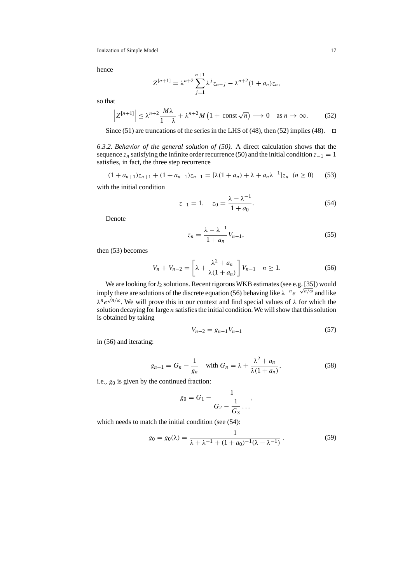hence

$$
Z^{[n+1]} = \lambda^{n+2} \sum_{j=1}^{n+1} \lambda^j z_{n-j} - \lambda^{n+2} (1 + a_n) z_n,
$$

so that

$$
\left| Z^{[n+1]} \right| \leq \lambda^{n+2} \frac{M\lambda}{1-\lambda} + \lambda^{n+2} M \left( 1 + \text{const} \sqrt{n} \right) \longrightarrow 0 \quad \text{as } n \to \infty. \tag{52}
$$

Since (51) are truncations of the series in the LHS of (48), then (52) implies (48).  $\Box$ 

*6.3.2. Behavior of the general solution of (50).* A direct calculation shows that the sequence  $z_n$  satisfying the infinite order recurrence (50) and the initial condition  $z_{-1} = 1$ satisfies, in fact, the three step recurrence

$$
(1 + a_{n+1})z_{n+1} + (1 + a_{n-1})z_{n-1} = [\lambda(1 + a_n) + \lambda + a_n\lambda^{-1}]z_n \ (n \ge 0)
$$
 (53)

with the initial condition

$$
z_{-1} = 1, \quad z_0 = \frac{\lambda - \lambda^{-1}}{1 + a_0}.
$$
 (54)

Denote

$$
z_n = \frac{\lambda - \lambda^{-1}}{1 + a_n} V_{n-1},\tag{55}
$$

then (53) becomes

$$
V_n + V_{n-2} = \left[\lambda + \frac{\lambda^2 + a_n}{\lambda(1 + a_n)}\right] V_{n-1} \quad n \ge 1.
$$
 (56)

We are looking for  $l_2$  solutions. Recent rigorous WKB estimates (see e.g. [35]) would imply there are solutions of the discrete equation (56) behaving like  $\lambda^{-n}e^{-\sqrt{n/\omega}}$  and like  $\lambda^n e^{\sqrt{n/\omega}}$ . We will prove this in our context and find special values of  $\lambda$  for which the solution decaying for large  $n$  satisfies the initial condition. We will show that this solution is obtained by taking

$$
V_{n-2} = g_{n-1} V_{n-1} \tag{57}
$$

in (56) and iterating:

$$
g_{n-1} = G_n - \frac{1}{g_n} \quad \text{with } G_n = \lambda + \frac{\lambda^2 + a_n}{\lambda(1 + a_n)},
$$
\n
$$
\tag{58}
$$

i.e.,  $g_0$  is given by the continued fraction:

$$
g_0=G_1-\frac{1}{G_2-\frac{1}{G_3}\ldots},
$$

which needs to match the initial condition (see  $(54)$ :

$$
g_0 = g_0(\lambda) = \frac{1}{\lambda + \lambda^{-1} + (1 + a_0)^{-1}(\lambda - \lambda^{-1})}.
$$
 (59)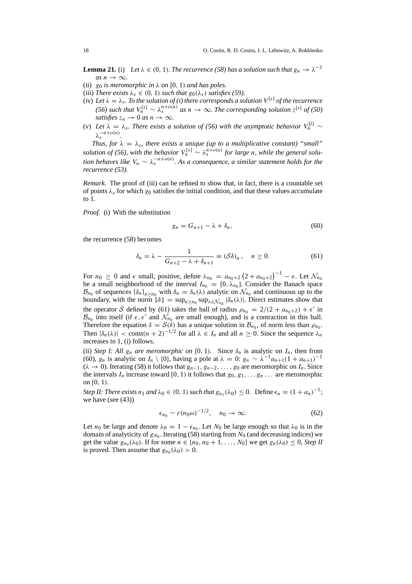**Lemma 21.** (i) Let  $\lambda \in (0, 1)$ *. The recurrence* (58) has a solution such that  $g_n \to \lambda^{-1}$  $as n \rightarrow \infty$ .

- (ii)  $g_0$  *is meromorphic in*  $\lambda$  *on* [0, 1) *and has poles.*
- (iii) *There exists*  $\lambda_s \in (0, 1)$  *such that*  $g_0(\lambda_s)$  *satisfies* (59).
- (iv) Let  $\lambda = \lambda_s$ . To the solution of (i) there corresponds a solution  $V^{[s]}$  of the recurrence *(56) such that*  $V_n^{[s]} \sim \lambda_s^{n+o(n)}$  *as*  $n \to \infty$ *. The corresponding solution*  $z^{[s]}$  *of (50) satisfies*  $z_n \to 0$  *as*  $n \to \infty$ *.*
- (v) *Let*  $\lambda = \lambda_s$ *. There exists a solution of (56) with the asymptotic behavior*  $V_n^{[l]}$  ~  $\lambda_{\rm s}^{-n+o(n)}$ .

*Thus, for*  $\lambda = \lambda_s$ *, there exists a unique (up to a multiplicative constant) "small" solution of (56), with the behavior*  $V_n^{[s]} \sim \lambda_s^{n+o(n)}$  *for large n, while the general solution behaves like*  $V_n \sim \lambda_s^{-n+o(n)}$ . As a consequence, a similar statement holds for the *recurrence (53).*

*Remark.* The proof of (iii) can be refined to show that, in fact, there is a countable set of points  $\lambda_s$  for which  $g_0$  satisfies the initial condition, and that these values accumulate to 1.

*Proof.* (i) With the substitution

$$
g_n = G_{n+1} - \lambda + \delta_n, \tag{60}
$$

the recurrence (58) becomes

$$
\delta_n = \lambda - \frac{1}{G_{n+2} - \lambda + \delta_{n+1}} \equiv (\mathcal{S}\delta)_n, \quad n \ge 0.
$$
 (61)

For  $n_0 \ge 0$  and  $\epsilon$  small, positive, define  $\lambda_{n_0} = a_{n_0+2} (2 + a_{n_0+2})^{-1} - \epsilon$ . Let  $\mathcal{N}_{n_0}$ be a small neighborhood of the interval  $I_{n_0} = [0, \lambda_{n_0}]$ . Consider the Banach space  $\mathcal{B}_{n_0}$  of sequences  $\{\delta_n\}_{n> n_0}$  with  $\delta_n = \delta_n(\lambda)$  analytic on  $\mathcal{N}_{n_0}$  and continuous up to the boundary, with the norm  $\|\delta\| = \sup_{n \ge n_0} \sup_{\lambda \in \mathcal{N}_{n_0}} |\delta_n(\lambda)|$ . Direct estimates show that the operator S defined by (61) takes the ball of radius  $\rho_{n_0} = 2/(2 + a_{n_0+2}) + \epsilon'$  in  $\mathcal{B}_{n_0}$  into itself (if  $\epsilon, \epsilon'$  and  $\mathcal{N}_{n_0}$  are small enough), and is a contraction in this ball. Therefore the equation  $\delta = \mathcal{S}(\check{\delta})$  has a unique solution in  $\mathcal{B}_{n_0}$ , of norm less than  $\rho_{n_0}$ . Then  $|\delta_n(\lambda)| < \text{const}(n+2)^{-1/2}$  for all  $\lambda \in I_n$  and all  $n \geq 0$ . Since the sequence  $\lambda_n$ increases to 1, (i) follows.

(ii) *Step I: All*  $g_n$  *are meromorphic on* [0, 1). Since  $\delta_n$  is analytic on  $I_n$ , then from (60),  $g_n$  is analytic on  $I_n \setminus \{0\}$ , having a pole at  $\lambda = 0$ :  $g_n \sim \lambda^{-1} a_{n+1} (1 + a_{n+1})^{-1}$  $(\lambda \to 0)$ . Iterating (58) it follows that  $g_{n-1}, g_{n-2}, \ldots, g_0$  are meromorphic on  $I_n$ . Since the intervals  $I_n$  increase toward [0, 1) it follows that  $g_0, g_1, \ldots, g_n, \ldots$  are meromorphic on  $[0, 1)$ .

*Step II: There exists*  $n_1$  *and*  $\lambda_0 \in (0, 1)$  *such that*  $g_{n_1}(\lambda_0) \leq 0$ . Define  $\epsilon_n = (1 + a_n)^{-1}$ ; we have (see (43))

$$
\epsilon_{n_0} \sim r(n_0 \omega)^{-1/2}, \quad n_0 \to \infty. \tag{62}
$$

Let  $n_0$  be large and denote  $\lambda_0 = 1 - \epsilon_{n_0}$ . Let  $N_0$  be large enough so that  $\lambda_0$  is in the domain of analyticity of  $g_{N_0}$ . Iterating (58) starting from  $N_0$  (and decreasing indices) we get the value  $g_{n_0}(\lambda_0)$ . If for some  $n \in \{n_0, n_0 + 1, \ldots, N_0\}$  we get  $g_n(\lambda_0) \leq 0$ , *Step II* is proved. Then assume that  $g_{n_0}(\lambda_0) > 0$ .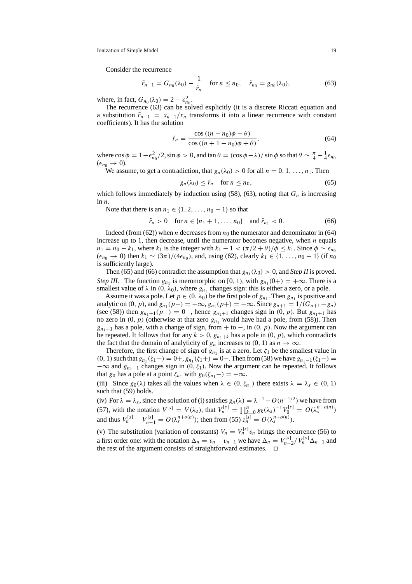Consider the recurrence

$$
\tilde{r}_{n-1} = G_{n_0}(\lambda_0) - \frac{1}{\tilde{r}_n} \quad \text{for } n \le n_0, \quad \tilde{r}_{n_0} = g_{n_0}(\lambda_0), \tag{63}
$$

where, in fact,  $G_{n_0}(\lambda_0) = 2 - \epsilon_{n_0}^2$ .

The recurrence (63) can be solved explicitly (it is a discrete Riccati equation and a substitution  $\tilde{r}_{n-1} = x_{n-1}/x_n$  transforms it into a linear recurrence with constant coefficients). It has the solution

$$
\tilde{r}_n = \frac{\cos ((n - n_0)\phi + \theta)}{\cos ((n + 1 - n_0)\phi + \theta)},\tag{64}
$$

where  $\cos \phi = 1 - \epsilon_{n_0}^2/2$ ,  $\sin \phi > 0$ , and  $\tan \theta = (\cos \phi - \lambda)/\sin \phi$  so that  $\theta \sim \frac{\pi}{4} - \frac{1}{4} \epsilon_{n_0}$  $(\epsilon_{n_0} \rightarrow 0).$ 

We assume, to get a contradiction, that  $g_n(\lambda_0) > 0$  for all  $n = 0, 1, \ldots, n_1$ . Then

$$
g_n(\lambda_0) \le \tilde{r}_n \quad \text{for } n \le n_0,\tag{65}
$$

which follows immediately by induction using (58), (63), noting that  $G_n$  is increasing in  $n$ .

Note that there is an  $n_1 \in \{1, 2, \ldots, n_0 - 1\}$  so that

$$
\tilde{r}_n > 0 \text{ for } n \in \{n_1 + 1, ..., n_0\} \text{ and } \tilde{r}_{n_1} < 0.
$$
 (66)

Indeed (from (62)) when *n* decreases from  $n_0$  the numerator and denominator in (64) increase up to 1, then decrease, until the numerator becomes negative, when  $n$  equals  $n_1 = n_0 - k_1$ , where  $k_1$  is the integer with  $k_1 - 1 < (\pi/2 + \theta)/\phi \le k_1$ . Since  $\phi \sim \epsilon_{n_0}$  $(\epsilon_{n_0} \to 0)$  then  $k_1 \sim (3\pi)/(4\epsilon_{n_0})$ , and, using (62), clearly  $k_1 \in \{1, ..., n_0 - 1\}$  (if  $n_0$ ) is sufficiently large).

Then (65) and (66) contradict the assumption that  $g_{n_1}(\lambda_0) > 0$ , and *Step II* is proved. *Step III.* The function  $g_{n_1}$  is meromorphic on [0, 1), with  $g_{n_1}(0+) = +\infty$ . There is a smallest value of  $\lambda$  in  $(0, \lambda_0)$ , where  $g_{n_1}$  changes sign: this is either a zero, or a pole.

Assume it was a pole. Let  $p \in (0, \lambda_0)$  be the first pole of  $g_{n_1}$ . Then  $g_{n_1}$  is positive and analytic on  $(0, p)$ , and  $g_{n_1}(p-) = +\infty$ ,  $g_{n_1}(p+) = -\infty$ . Since  $g_{n+1} = 1/(G_{n+1}-g_n)$ (see (58)) then  $g_{n_1+1}(p-) = 0$ , hence  $g_{n_1+1}$  changes sign in  $(0, p)$ . But  $g_{n_1+1}$  has no zero in  $(0, p)$  (otherwise at that zero  $g_{n_1}$  would have had a pole, from (58)). Then  $g_{n_1+1}$  has a pole, with a change of sign, from + to –, in (0, p). Now the argument can be repeated. It follows that for any  $k > 0$ ,  $g_{n_1+k}$  has a pole in  $(0, p)$ , which contradicts the fact that the domain of analyticity of  $g_n$  increases to (0, 1) as  $n \to \infty$ .

Therefore, the first change of sign of  $g_{n_1}$  is at a zero. Let  $\zeta_1$  be the smallest value in (0, 1) such that  $g_{n_1}(\zeta_1-) = 0$ +,  $g_{n_1}(\zeta_1+) = 0$ −. Then from (58) we have  $g_{n_1-1}(\zeta_1-)$  $-\infty$  and  $g_{n_1-1}$  changes sign in  $(0, \zeta_1)$ . Now the argument can be repeated. It follows that  $g_0$  has a pole at a point  $\zeta_{n_1}$  with  $g_0(\zeta_{n_1}-) = -\infty$ .

(iii) Since  $g_0(\lambda)$  takes all the values when  $\lambda \in (0, \zeta_{n_1})$  there exists  $\lambda = \lambda_s \in (0, 1)$ such that (59) holds.

(iv) For  $\lambda = \lambda_s$ , since the solution of (i) satisfies  $g_n(\lambda) = \lambda^{-1} + O(n^{-1/2})$  we have from (57), with the notation  $V^{[s]} = V(\lambda_s)$ , that  $V_n^{[s]} = \prod_{k=0}^n g_k(\lambda_s)^{-1} V_0^{[s]} = O(\lambda_s^{n+o(n)})$ and thus  $V_n^{[s]} - V_{n-1}^{[s]} = O(\lambda_s^{n+o(n)})$ ; then from (55)  $z_n^{[s]} = O(\lambda_s^{n+o(n)})$ .

(v) The substitution (variation of constants)  $V_n = V_n^{[s]} v_n$  brings the recurrence (56) to a first order one: with the notation  $\Delta_n = v_n - v_{n-1}$  we have  $\Delta_n = V_{n-2}^{[s]}/V_n^{[s]} \Delta_{n-1}$  and the rest of the argument consists of straightforward estimates.  $\Box$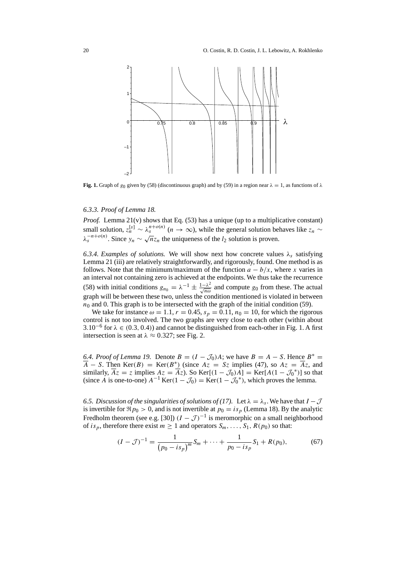

**Fig. 1.** Graph of  $g_0$  given by (58) (discontinuous graph) and by (59) in a region near  $\lambda = 1$ , as functions of  $\lambda$ 

### *6.3.3. Proof of Lemma 18.*

*Proof.* Lemma 21(v) shows that Eq. (53) has a unique (up to a multiplicative constant) small solution,  $z_n^{[s]} \sim \lambda_s^{n+o(n)}$  ( $n \to \infty$ ), while the general solution behaves like  $z_n \sim$  $\lambda_s^{-n+o(n)}$ . Since  $y_n \sim \sqrt{n} z_n$  the uniqueness of the l<sub>2</sub> solution is proven.

6.3.4. Examples of solutions. We will show next how concrete values  $\lambda_s$  satisfying Lemma 21 (iii) are relatively straightforwardly, and rigorously, found. One method is as follows. Note that the minimum/maximum of the function  $a - b/x$ , where x varies in an interval not containing zero is achieved at the endpoints. We thus take the recurrence (58) with initial conditions  $g_{n_0} = \lambda^{-1} \pm \frac{1-\lambda^2}{\sqrt{n\omega}}$  and compute  $g_0$  from these. The actual graph will be between these two, unless the condition mentioned is violated in between  $n_0$  and 0. This graph is to be intersected with the graph of the initial condition (59).

We take for instance  $\omega = 1.1$ ,  $r = 0.45$ ,  $s_p = 0.11$ ,  $n_0 = 10$ , for which the rigorous control is not too involved. The two graphs are very close to each other (within about 3.10<sup>-6</sup> for  $\lambda \in (0.3, 0.4)$  and cannot be distinguished from each-other in Fig. 1. A first intersection is seen at  $\lambda \approx 0.327$ ; see Fig. 2.

6.4. Proof of Lemma 19. Denote  $B = (I - \mathcal{J}_0)A$ ; we have  $B = A - S$ . Hence  $B^* =$  $\overline{A}$  – S. Then Ker(B) = Ker(B<sup>\*</sup>) (since  $Az = Sz$  implies (47), so  $Az = \overline{A}z$ , and similarly,  $\overline{Az} = z$  implies  $Az = \overline{Az}$ . So Ker[ $(1 - \mathcal{J}_0)A$ ] = Ker[ $A(1 - \mathcal{J}_0^*)$ ] so that (since A is one-to-one)  $A^{-1}$  Ker(1 –  $\mathcal{J}_0$ ) = Ker(1 –  $\mathcal{J}_0^*$ ), which proves the lemma.

*6.5. Discussion of the singularities of solutions of (17).* Let  $\lambda = \lambda_s$ . We have that  $I - \mathcal{J}$ is invertible for  $\Re p_0 > 0$ , and is not invertible at  $p_0 = i s_p$  (Lemma 18). By the analytic Fredholm theorem (see e.g. [30])  $(I - \mathcal{J})^{-1}$  is meromorphic on a small neighborhood of is<sub>p</sub>, therefore there exist  $m \ge 1$  and operators  $S_m$ , ...,  $S_1$ ,  $R(p_0)$  so that:

$$
(I - \mathcal{J})^{-1} = \frac{1}{(p_0 - is_p)^m} S_m + \dots + \frac{1}{p_0 - is_p} S_1 + R(p_0),\tag{67}
$$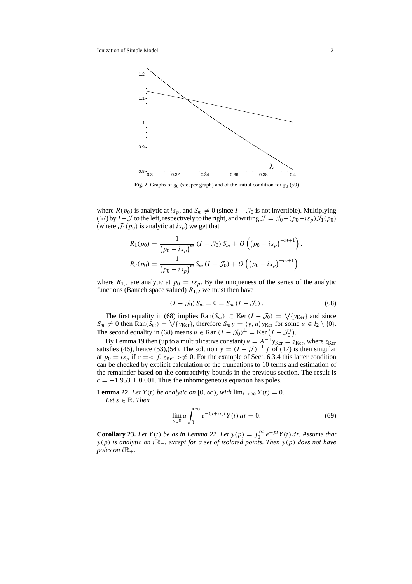

**Fig. 2.** Graphs of  $g_0$  (steeper graph) and of the initial condition for  $g_0$  (59)

where  $R(p_0)$  is analytic at is<sub>p</sub>, and  $S_m \neq 0$  (since  $I - \mathcal{J}_0$  is not invertible). Multiplying (67) by  $I - \mathcal{J}$  to the left, respectively to the right, and writing  $\mathcal{J} = \mathcal{J}_0 + (p_0 - is_p)\mathcal{J}_1(p_0)$ (where  $\mathcal{J}_1(p_0)$  is analytic at  $is_p$ ) we get that

$$
R_1(p_0) = \frac{1}{(p_0 - is_p)^m} (I - \mathcal{J}_0) S_m + O\left((p_0 - is_p)^{-m+1}\right),
$$
  

$$
R_2(p_0) = \frac{1}{(p_0 - is_p)^m} S_m (I - \mathcal{J}_0) + O\left((p_0 - is_p)^{-m+1}\right),
$$

where  $R_{1,2}$  are analytic at  $p_0 = is_p$ . By the uniqueness of the series of the analytic functions (Banach space valued)  $R_{1,2}$  we must then have

$$
(I - \mathcal{J}_0) S_m = 0 = S_m (I - \mathcal{J}_0).
$$
 (68)

The first equality in (68) implies  $\text{Ran}(S_m) \subset \text{Ker}(I - \mathcal{J}_0) = \bigvee \{y_{\text{Ker}}\}$  and since  $S_m \neq 0$  then Ran $(S_m) = \bigvee \{y_{\text{Ker}}\}$ , therefore  $S_m y = \langle y, u \rangle y_{\text{Ker}}$  for some  $u \in l_2 \setminus \{0\}$ . The second equality in (68) means  $u \in \text{Ran} (I - \mathcal{J}_0)^{\perp} = \text{Ker} (I - \mathcal{J}_0^*)$ .

By Lemma 19 then (up to a multiplicative constant)  $u = A^{-1}y_{\text{Ker}} = z_{\text{Ker}}$ , where  $z_{\text{Ker}}$ satisfies (46), hence (53),(54). The solution  $y = (I - J)^{-1} f$  of (17) is then singular at  $p_0 = i s_p$  if  $c = < f$ ,  $z_{\text{Ker}} > \neq 0$ . For the example of Sect. 6.3.4 this latter condition can be checked by explicit calculation of the truncations to 10 terms and estimation of the remainder based on the contractivity bounds in the previous section. The result is  $c = -1.953 \pm 0.001$ . Thus the inhomogeneous equation has poles.

**Lemma 22.** *Let*  $Y(t)$  *be analytic on* [0, ∞)*, with*  $\lim_{t\to\infty} Y(t) = 0$ *. Let*  $s \in \mathbb{R}$ *. Then* 

$$
\lim_{a \downarrow 0} a \int_0^\infty e^{-(a+is)t} Y(t) dt = 0.
$$
 (69)

**Corollary 23.** *Let*  $Y(t)$  *be as in Lemma 22. Let*  $y(p) = \int_0^\infty e^{-pt} Y(t) dt$ *. Assume that*  $y(p)$  *is analytic on i* $\mathbb{R}_+$ *, except for a set of isolated points. Then*  $y(p)$  *does not have poles on*  $i\mathbb{R}_+$ .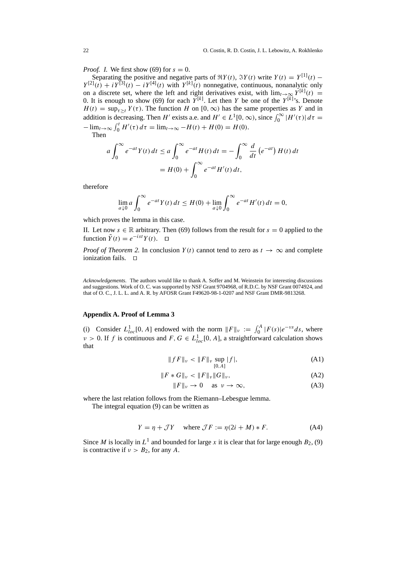*Proof. I.* We first show (69) for  $s = 0$ .

Separating the positive and negative parts of  $\Re Y(t)$ ,  $\Im Y(t)$  write  $Y(t) = Y^{[1]}(t)$  –  $Y^{[2]}(t) + iY^{[3]}(t) - iY^{[4]}(t)$  with  $Y^{[k]}(t)$  nonnegative, continuous, nonanalytic only on a discrete set, where the left and right derivatives exist, with  $\lim_{t\to\infty} Y^{[k]}(t) =$ 0. It is enough to show (69) for each  $Y^{[k]}$ . Let then Y be one of the  $Y^{[k]}$ 's. Denote  $H(t) = \sup_{\tau \geq t} Y(\tau)$ . The function H on [0,  $\infty$ ) has the same properties as Y and in addition is decreasing. Then H' exists a.e. and  $H' \in L^1[0, \infty)$ , since  $\int_0^\infty |H'(\tau)| d\tau =$  $-\lim_{t\to\infty} \int_0^t H'(\tau) d\tau = \lim_{t\to\infty} -H(t) + H(0) = H(0).$ 

Then

$$
a \int_0^\infty e^{-at} Y(t) dt \le a \int_0^\infty e^{-at} H(t) dt = -\int_0^\infty \frac{d}{dt} (e^{-at}) H(t) dt
$$

$$
= H(0) + \int_0^\infty e^{-at} H'(t) dt,
$$

therefore

$$
\lim_{a \downarrow 0} a \int_0^{\infty} e^{-at} Y(t) dt \le H(0) + \lim_{a \downarrow 0} \int_0^{\infty} e^{-at} H'(t) dt = 0,
$$

which proves the lemma in this case.

II. Let now  $s \in \mathbb{R}$  arbitrary. Then (69) follows from the result for  $s = 0$  applied to the function  $\tilde{Y}(t) = e^{-ist} Y(t)$ .  $\Box$ 

*Proof of Theorem 2.* In conclusion  $Y(t)$  cannot tend to zero as  $t \to \infty$  and complete ionization fails.  $\Box$ 

*Acknowledgements.* The authors would like to thank A. Soffer and M. Weinstein for interesting discussions and suggestions. Work of O. C. was supported by NSF Grant 9704968, of R.D.C. by NSF Grant 0074924, and that of O. C., J. L. L. and A. R. by AFOSR Grant F49620-98-1-0207 and NSF Grant DMR-9813268.

## **Appendix A. Proof of Lemma 3**

(i) Consider  $L_{loc}^1[0, A]$  endowed with the norm  $||F||_{\nu} := \int_0^A |F(s)|e^{-\nu s} ds$ , where  $v > 0$ . If f is continuous and  $F, G \in L^1_{loc}[0, A]$ , a straightforward calculation shows that

$$
||fF||_{\nu} < ||F||_{\nu} \sup_{[0,A]} |f|,
$$
 (A1)

$$
||F * G||_{\nu} < ||F||_{\nu} ||G||_{\nu}, \tag{A2}
$$

$$
||F||_{\nu} \to 0 \quad \text{as } \nu \to \infty,
$$
 (A3)

where the last relation follows from the Riemann–Lebesgue lemma.

The integral equation (9) can be written as

$$
Y = \eta + \mathcal{J}Y \quad \text{where } \mathcal{J}F := \eta(2i + M) * F. \tag{A4}
$$

Since M is locally in  $L^1$  and bounded for large x it is clear that for large enough  $B_2$ , (9) is contractive if  $v > B_2$ , for any A.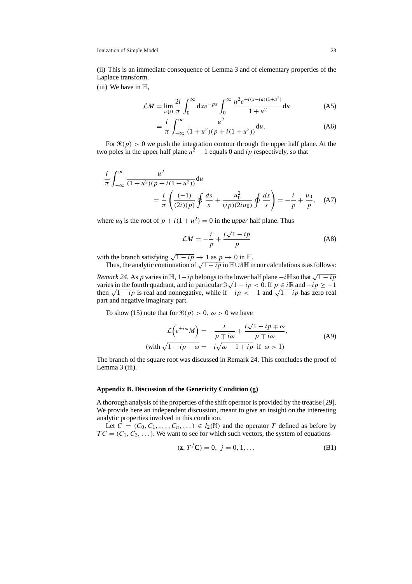(ii) This is an immediate consequence of Lemma 3 and of elementary properties of the Laplace transform.

 $(iii)$  We have in  $H$ .

$$
\mathcal{L}M = \lim_{a \downarrow 0} \frac{2i}{\pi} \int_0^\infty dx e^{-px} \int_0^\infty \frac{u^2 e^{-i(x - ia)(1 + u^2)}}{1 + u^2} du
$$
 (A5)

$$
= \frac{i}{\pi} \int_{-\infty}^{\infty} \frac{u^2}{(1+u^2)(p+i(1+u^2))} \mathrm{d}u.
$$
 (A6)

For  $\Re(p) > 0$  we push the integration contour through the upper half plane. At the two poles in the upper half plane  $u^2 + 1$  equals 0 and ip respectively, so that

$$
\frac{i}{\pi} \int_{-\infty}^{\infty} \frac{u^2}{(1+u^2)(p+i(1+u^2))} du
$$
\n
$$
= \frac{i}{\pi} \left( \frac{(-1)}{(2i)(p)} \oint \frac{ds}{s} + \frac{u_0^2}{(ip)(2iu_0)} \oint \frac{ds}{s} \right) = -\frac{i}{p} + \frac{u_0}{p}, \quad (A7)
$$

where  $u_0$  is the root of  $p + i(1 + u^2) = 0$  in the *upper* half plane. Thus

$$
\mathcal{L}M = -\frac{i}{p} + \frac{i\sqrt{1 - ip}}{p}
$$
 (A8)

with the branch satisfying  $\sqrt{1 - ip} \rightarrow 1$  as  $p \rightarrow 0$  in H.

Thus, the analytic continuation of  $\sqrt{1 - ip}$  in  $\mathbb{H} \cup \partial \mathbb{H}$  in our calculations is as follows:

*Remark 24.* As p varies in  $\mathbb{H}$ ,  $1 - ip$  belongs to the lower half plane  $-i\mathbb{H}$  so that  $\sqrt{1 - ip}$ *Nemark 24.* As p varies in  $\mathbb{H}$ ,  $1 - ip$  belongs to the lower half plane  $-i \mathbb{H}$  so that  $\sqrt{1 - ip}$   $\leq$   $0$ . If  $p \in i \mathbb{R}$  and  $-ip \geq -1$ then  $\sqrt{1 - ip}$  is real and nonnegative, while if  $-ip < -1$  and  $\sqrt{1 - ip}$  has zero real part and negative imaginary part.

To show (15) note that for  $\Re(p) > 0$ ,  $\omega > 0$  we have

$$
\mathcal{L}\left(e^{\pm i\omega}M\right) = -\frac{i}{p \mp i\omega} + \frac{i\sqrt{1 - ip \mp \omega}}{p \mp i\omega},
$$
\n(with  $\sqrt{1 - ip - \omega} = -i\sqrt{\omega - 1 + ip}$  if  $\omega > 1$ )

\n(A9)

The branch of the square root was discussed in Remark 24. This concludes the proof of Lemma 3 (iii).

# **Appendix B. Discussion of the Genericity Condition (g)**

A thorough analysis of the properties of the shift operator is provided by the treatise [29]. We provide here an independent discussion, meant to give an insight on the interesting analytic properties involved in this condition.

Let  $C = (C_0, C_1, \ldots, C_n, \ldots) \in l_2(\mathbb{N})$  and the operator T defined as before by  $TC = (C_1, C_2, \dots)$ . We want to see for which such vectors, the system of equations

$$
(\mathbf{z}, T^j \mathbf{C}) = 0, \ j = 0, 1, \dots
$$
 (B1)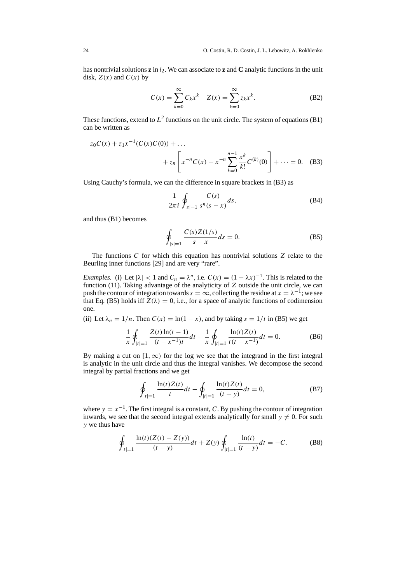has nontrivial solutions  $\mathbf{z}$  in  $l_2$ . We can associate to  $\mathbf{z}$  and  $\mathbf{C}$  analytic functions in the unit disk,  $Z(x)$  and  $C(x)$  by

$$
C(x) = \sum_{k=0}^{\infty} C_k x^k \quad Z(x) = \sum_{k=0}^{\infty} z_k x^k.
$$
 (B2)

These functions, extend to  $L^2$  functions on the unit circle. The system of equations (B1) can be written as

$$
z_0 C(x) + z_1 x^{-1} (C(x) C(0)) + \dots
$$
  
+ 
$$
z_n \left[ x^{-n} C(x) - x^{-n} \sum_{k=0}^{n-1} \frac{x^k}{k!} C^{(k)}(0) \right] + \dots = 0.
$$
 (B3)

Using Cauchy's formula, we can the difference in square brackets in (B3) as

$$
\frac{1}{2\pi i} \oint_{|s|=1} \frac{C(s)}{s^n(s-x)} ds,
$$
 (B4)

and thus (B1) becomes

$$
\oint_{|s|=1} \frac{C(s)Z(1/s)}{s-x} ds = 0.
$$
\n(B5)

The functions  $C$  for which this equation has nontrivial solutions  $Z$  relate to the Beurling inner functions [29] and are very "rare".

*Examples.* (i) Let  $|\lambda| < 1$  and  $C_n = \lambda^n$ , i.e.  $C(x) = (1 - \lambda x)^{-1}$ . This is related to the function (11). Taking advantage of the analyticity of Z outside the unit circle, we can push the contour of integration towards  $s = \infty$ , collecting the residue at  $x = \lambda^{-1}$ ; we see that Eq. (B5) holds iff  $Z(\lambda) = 0$ , i.e., for a space of analytic functions of codimension one.

(ii) Let 
$$
\lambda_n = 1/n
$$
. Then  $C(x) = \ln(1 - x)$ , and by taking  $s = 1/t$  in (B5) we get

$$
\frac{1}{x} \oint_{|t|=1} \frac{Z(t) \ln(t-1)}{(t-x^{-1})t} dt - \frac{1}{x} \oint_{|t|=1} \frac{\ln(t)Z(t)}{t(t-x^{-1})} dt = 0.
$$
 (B6)

By making a cut on  $[1, \infty)$  for the log we see that the integrand in the first integral is analytic in the unit circle and thus the integral vanishes. We decompose the second integral by partial fractions and we get

$$
\oint_{|t|=1} \frac{\ln(t)Z(t)}{t}dt - \oint_{|t|=1} \frac{\ln(t)Z(t)}{(t-y)}dt = 0,
$$
\n(B7)

where  $y = x^{-1}$ . The first integral is a constant, C. By pushing the contour of integration inwards, we see that the second integral extends analytically for small  $y \neq 0$ . For such y we thus have

$$
\oint_{|t|=1} \frac{\ln(t)(Z(t) - Z(y))}{(t - y)} dt + Z(y) \oint_{|t|=1} \frac{\ln(t)}{(t - y)} dt = -C.
$$
 (B8)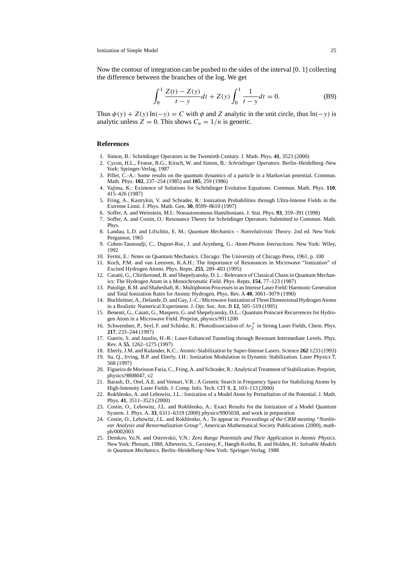Now the contour of integration can be pushed to the sides of the interval [0, 1] collecting the difference between the branches of the log. We get

$$
\int_0^1 \frac{Z(t) - Z(y)}{t - y} dt + Z(y) \int_0^1 \frac{1}{t - y} dt = 0.
$$
 (B9)

Thus  $\phi(y) + Z(y) \ln(-y) = C$  with  $\phi$  and Z analytic in the unit circle, thus  $\ln(-y)$  is analytic unless  $Z = 0$ . This shows  $C_n = 1/n$  is generic.

### **References**

- 1. Simon, B.: Schrödinger Operators in the Twentieth Century. J. Math. Phys. **41**, 3523 (2000)
- 2. Cycon, H.L., Froese, R.G., Kirsch, W. and Simon, B.: *Schrödinger Operators*. Berlin–Heidelberg–New York: Springer-Verlag, 1987
- 3. Pillet, C.-A.: Some results on the quantum dynamics of a particle in a Markovian potential. Commun. Math. Phys. **102**, 237–254 (1985) and **105**, 259 (1986)
- 4. Yajima, K.: Existence of Solutions for Schrödinger Evolution Equations. Commun. Math. Phys. **110**, 415–426 (1987)
- 5. Fring, A., Kastrykin, V. and Schrader, R.: Ionization Probabilities through Ultra-Intense Fields in the Extreme Limit. J. Phys. Math. Gen. **30**, 8599–8610 (1997)
- 6. Soffer, A. and Weinstein, M.I.: Nonautonomous Hamiltonians. J. Stat. Phys. **93**, 359–391 (1998)
- 7. Soffer, A. and Costin, O.: Resonance Theory for Schrödinger Operators. Submitted to Commun. Math. Phys.
- 8. Landau, L.D. and Lifschitz, E. M.: *Quantum Mechanics Nonrelativistic Theory*. 2nd ed. New York: Pergamon, 1965
- 9. Cohen-Tannoudji, C., Duport-Roc, J. and Arynberg, G.: *Atom-Photon Interactions*. New York: Wiley, 1992
- 10. Fermi, E.: Notes on Quantum Mechanics. Chicago: The University of Chicago Press, 1961, p. 100
- 11. Koch, P.M. and van Leeuven, K.A.H.: The Importance of Resonances in Microwave "Ionization" of Excited Hydrogen Atoms. Phys. Repts. **255**, 289–403 (1995)
- 12. Casatti, G., Chirikovand, B. and Shepelyansky, D. L.: Relevance of Classical Chaos in Quantum Mechanics: The Hydrogen Atom in a Monochromatic Field. Phys. Repts. **154**, 77–123 (1987)
- 13. Patolige, R.M. and Shaheshaft, R.: Multiphoton Processes in an Intense Laser Field: Harmonic Generation and Total Ionization Rates for Atomic Hydrogen. Phys. Rev. A **40**, 3061–3079 (1990)
- 14. Buchleitner,A., Delande, D. and Gay, J.-C.: Microwave Ionization of Three Dimensional HydrogenAtoms in a Realistic Numerical Experiment. J. Opt. Soc. Am. B **12**, 505–519 (1995)
- 15. Benenti, G., Casati, G., Maspero, G. and Shepelyansky, D.L.: Quantum Poincaré Recurrences for Hydrogen Atom in a Microwave Field. Preprint, physics/9911200
- 16. Schwendner, P., Seyl, F. and Schinke, R.: Photodissociation of  $Ar_2^+$  in Strong Laser Fields, Chem. Phys. **217**, 233–244 (1997)
- 17. Guerin, S. and Jauslin, H.-R.: Laser-Enhanced Tunneling through Resonant Intermediate Levels. Phys. Rev. A **55**, 1262–1275 (1997)
- 18. Eberly, J.M. and Kulander, K.C.: Atomic-Stabilization by Super-Intense Lasers. Science **262** 1233 (1993)
- 19. Su, Q., Irving, B.P. and Eberly, J.H.: Ionization Modulation in Dynamic Stabilization. Laser Physics **7**, 568 (1997)
- 20. Figueira de Morisson Faria, C., Fring,A. and Schrader, R.:Analytical Treatment of Stabilization. Preprint, physics/9808047, v2
- 21. Barash, D., Orel, A.E. and Vemuri, V.R.: A Genetic Search in Frequency Space for Stabilizing Atoms by High-Intensity Laser Fields. J. Comp. Info. Tech. CIT 8, **2**, 103–113 (2000)
- 22. Rokhlenko, A. and Lebowitz, J.L.: Ionization of a Model Atom by Perturbation of the Potential. J. Math. Phys. **41**, 3511–3523 (2000)
- 23. Costin, O., Lebowitz, J.L. and Rokhlenko, A.: Exact Results for the Ionization of a Model Quantum System. J. Phys. A. **33**, 6311–6319 (2000) physics/9905038, and work in preparation
- 24. Costin, O., Lebowitz, J.L. and Rokhlenko, A.: To appear in: *Proceedings of the CRM meeting "Nonlinear Analysis and Renormalization Group"*, American Mathematical Society Publications (2000), mathph/0002003
- 25. Demkov, Yu.N. and Ostrovskii, V.N.: *Zero Range Potentials and Their Application in Atomic Physics*. NewYork: Plenum, 1988; Albeverio, S., Gesztesy, F., Høegh-Krohn, R. and Holden, H.: *Solvable Models in Quantum Mechanics*. Berlin–Heidelberg–New York: Springer-Verlag, 1988